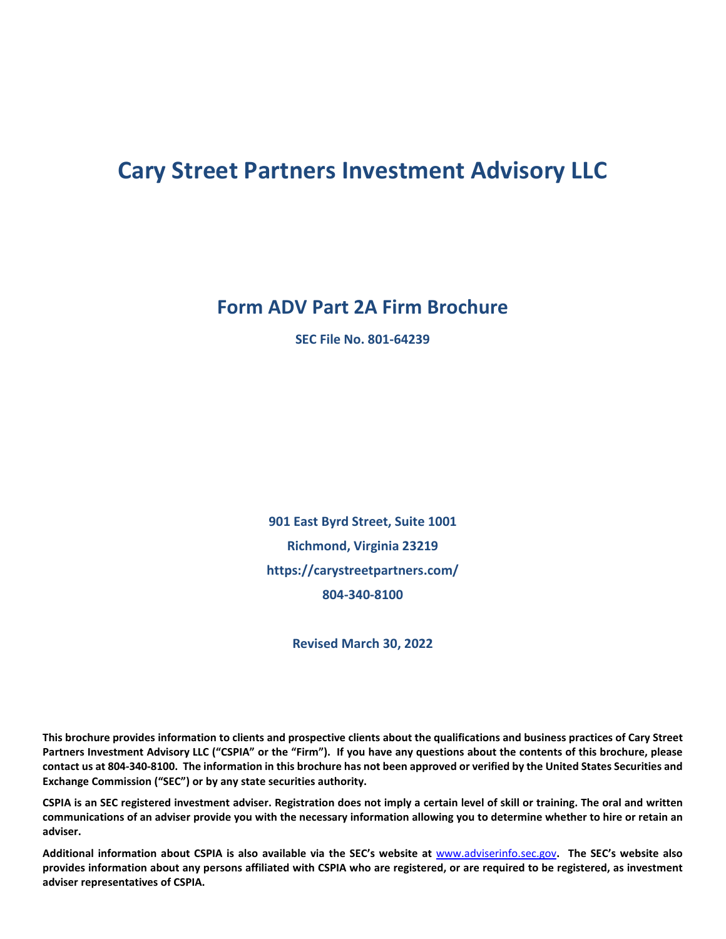# **Cary Street Partners Investment Advisory LLC**

**Form ADV Part 2A Firm Brochure**

**SEC File No. 801-64239**

**901 East Byrd Street, Suite 1001 Richmond, Virginia 23219 https://carystreetpartners.com/ 804-340-8100**

**Revised March 30, 2022**

**This brochure provides information to clients and prospective clients about the qualifications and business practices of Cary Street Partners Investment Advisory LLC ("CSPIA" or the "Firm"). If you have any questions about the contents of this brochure, please contact us at 804-340-8100. The information in this brochure has not been approved or verified by the United States Securities and Exchange Commission ("SEC") or by any state securities authority.** 

**CSPIA is an SEC registered investment adviser. Registration does not imply a certain level of skill or training. The oral and written communications of an adviser provide you with the necessary information allowing you to determine whether to hire or retain an adviser.**

**Additional information about CSPIA is also available via the SEC's website at** [www.adviserinfo.sec.gov](http://www.adviserinfo.sec.gov/)**. The SEC's website also provides information about any persons affiliated with CSPIA who are registered, or are required to be registered, as investment adviser representatives of CSPIA.**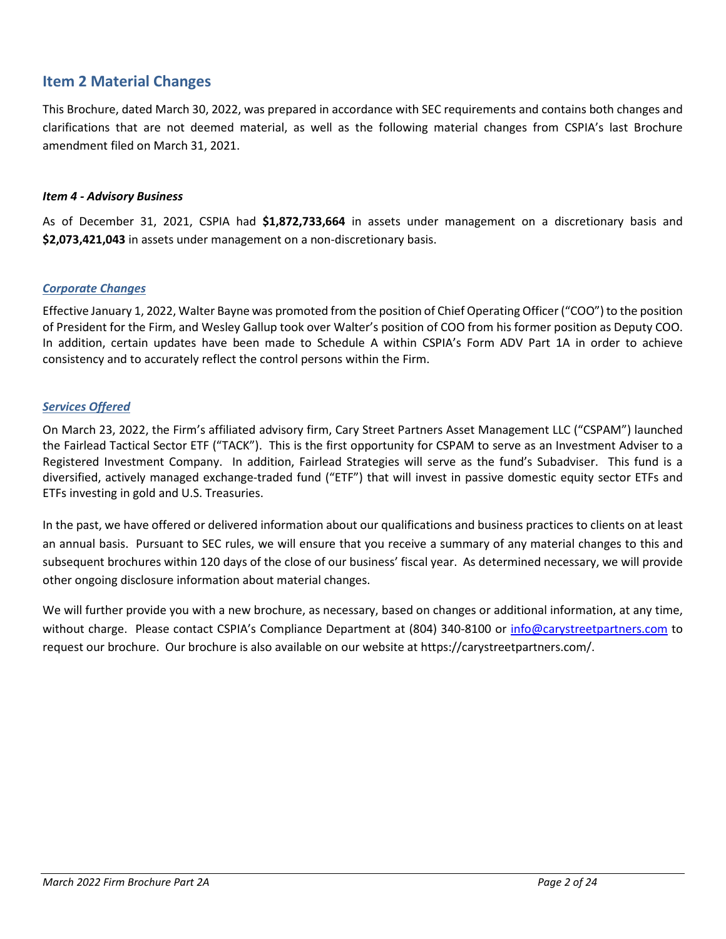### <span id="page-1-0"></span>**Item 2 Material Changes**

This Brochure, dated March 30, 2022, was prepared in accordance with SEC requirements and contains both changes and clarifications that are not deemed material, as well as the following material changes from CSPIA's last Brochure amendment filed on March 31, 2021.

#### *Item 4 - Advisory Business*

As of December 31, 2021, CSPIA had **\$1,872,733,664** in assets under management on a discretionary basis and **\$2,073,421,043** in assets under management on a non-discretionary basis.

#### *Corporate Changes*

Effective January 1, 2022, Walter Bayne was promoted from the position of Chief Operating Officer ("COO") to the position of President for the Firm, and Wesley Gallup took over Walter's position of COO from his former position as Deputy COO. In addition, certain updates have been made to Schedule A within CSPIA's Form ADV Part 1A in order to achieve consistency and to accurately reflect the control persons within the Firm.

#### *Services Offered*

On March 23, 2022, the Firm's affiliated advisory firm, Cary Street Partners Asset Management LLC ("CSPAM") launched the Fairlead Tactical Sector ETF ("TACK"). This is the first opportunity for CSPAM to serve as an Investment Adviser to a Registered Investment Company. In addition, Fairlead Strategies will serve as the fund's Subadviser. This fund is a diversified, actively managed exchange-traded fund ("ETF") that will invest in passive domestic equity sector ETFs and ETFs investing in gold and U.S. Treasuries.

In the past, we have offered or delivered information about our qualifications and business practices to clients on at least an annual basis. Pursuant to SEC rules, we will ensure that you receive a summary of any material changes to this and subsequent brochures within 120 days of the close of our business' fiscal year. As determined necessary, we will provide other ongoing disclosure information about material changes.

We will further provide you with a new brochure, as necessary, based on changes or additional information, at any time, without charge. Please contact CSPIA's Compliance Department at (804) 340-8100 or [info@carystreetpartners.com](mailto:info@carystreetpartners.com) to request our brochure. Our brochure is also available on our website at https://carystreetpartners.com/.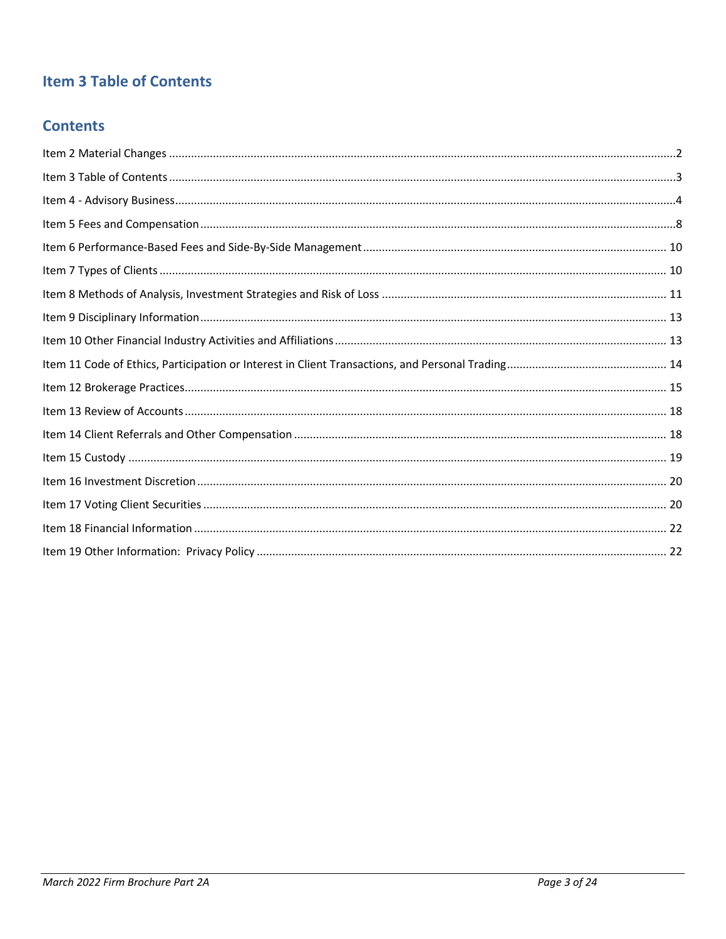# <span id="page-2-0"></span>**Item 3 Table of Contents**

### **Contents**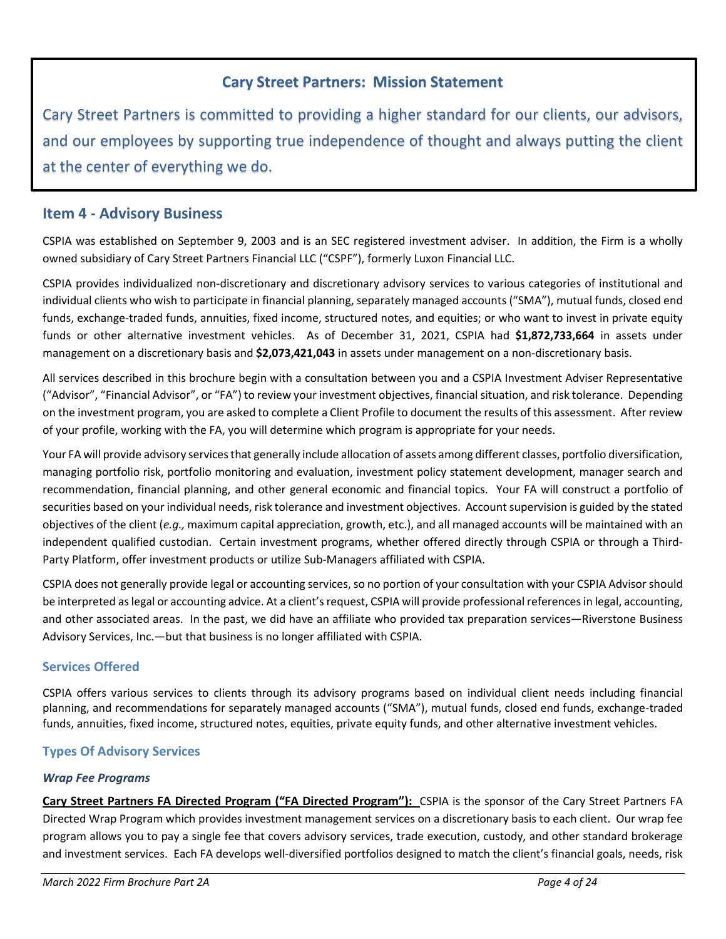### **Cary Street Partners: Mission Statement**

Cary Street Partners is committed to providing a higher standard for our clients, our advisors, and our employees by supporting true independence of thought and always putting the client at the center of everything we do.

### <span id="page-3-0"></span>**Item 4 - Advisory Business**

CSPIA was established on September 9, 2003 and is an SEC registered investment adviser. In addition, the Firm is a wholly owned subsidiary of Cary Street Partners Financial LLC ("CSPF"), formerly Luxon Financial LLC.

CSPIA provides individualized non-discretionary and discretionary advisory services to various categories of institutional and individual clients who wish to participate in financial planning, separately managed accounts ("SMA"), mutual funds, closed end funds, exchange-traded funds, annuities, fixed income, structured notes, and equities; or who want to invest in private equity funds or other alternative investment vehicles. As of December 31, 2021, CSPIA had **\$1,872,733,664** in assets under management on a discretionary basis and **\$2,073,421,043** in assets under management on a non-discretionary basis.

All services described in this brochure begin with a consultation between you and a CSPIA Investment Adviser Representative ("Advisor", "Financial Advisor", or "FA") to review your investment objectives, financial situation, and risk tolerance. Depending on the investment program, you are asked to complete a Client Profile to document the results of this assessment. After review of your profile, working with the FA, you will determine which program is appropriate for your needs.

Your FA will provide advisory services that generally include allocation of assets among different classes, portfolio diversification, managing portfolio risk, portfolio monitoring and evaluation, investment policy statement development, manager search and recommendation, financial planning, and other general economic and financial topics. Your FA will construct a portfolio of securities based on your individual needs, risk tolerance and investment objectives. Account supervision is guided by the stated objectives of the client (*e.g.,* maximum capital appreciation, growth, etc.), and all managed accounts will be maintained with an independent qualified custodian. Certain investment programs, whether offered directly through CSPIA or through a Third-Party Platform, offer investment products or utilize Sub-Managers affiliated with CSPIA.

CSPIA does not generally provide legal or accounting services, so no portion of your consultation with your CSPIA Advisor should be interpreted as legal or accounting advice. At a client's request, CSPIA will provide professional references in legal, accounting, and other associated areas. In the past, we did have an affiliate who provided tax preparation services—Riverstone Business Advisory Services, Inc.—but that business is no longer affiliated with CSPIA.

### **Services Offered**

CSPIA offers various services to clients through its advisory programs based on individual client needs including financial planning, and recommendations for separately managed accounts ("SMA"), mutual funds, closed end funds, exchange-traded funds, annuities, fixed income, structured notes, equities, private equity funds, and other alternative investment vehicles.

### **Types Of Advisory Services**

#### *Wrap Fee Programs*

**Cary Street Partners FA Directed Program ("FA Directed Program"):** CSPIA is the sponsor of the Cary Street Partners FA Directed Wrap Program which provides investment management services on a discretionary basis to each client. Our wrap fee program allows you to pay a single fee that covers advisory services, trade execution, custody, and other standard brokerage and investment services. Each FA develops well-diversified portfolios designed to match the client's financial goals, needs, risk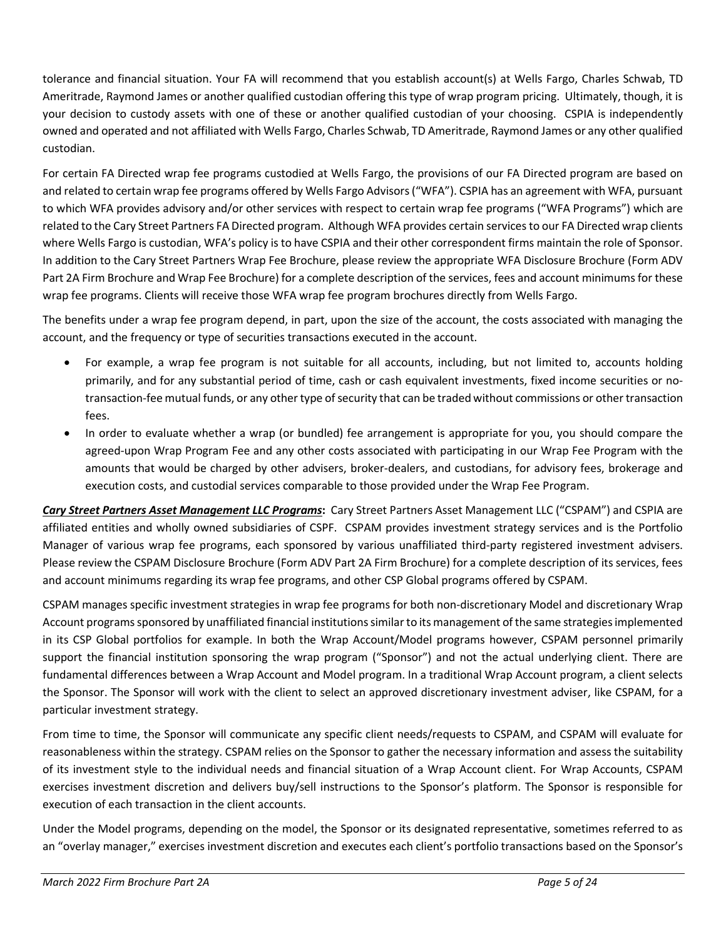tolerance and financial situation. Your FA will recommend that you establish account(s) at Wells Fargo, Charles Schwab, TD Ameritrade, Raymond James or another qualified custodian offering this type of wrap program pricing. Ultimately, though, it is your decision to custody assets with one of these or another qualified custodian of your choosing. CSPIA is independently owned and operated and not affiliated with Wells Fargo, Charles Schwab, TD Ameritrade, Raymond James or any other qualified custodian.

For certain FA Directed wrap fee programs custodied at Wells Fargo, the provisions of our FA Directed program are based on and related to certain wrap fee programs offered by Wells Fargo Advisors ("WFA"). CSPIA has an agreement with WFA, pursuant to which WFA provides advisory and/or other services with respect to certain wrap fee programs ("WFA Programs") which are related to the Cary Street Partners FA Directed program. Although WFA provides certain services to our FA Directed wrap clients where Wells Fargo is custodian, WFA's policy is to have CSPIA and their other correspondent firms maintain the role of Sponsor. In addition to the Cary Street Partners Wrap Fee Brochure, please review the appropriate WFA Disclosure Brochure (Form ADV Part 2A Firm Brochure and Wrap Fee Brochure) for a complete description of the services, fees and account minimums for these wrap fee programs. Clients will receive those WFA wrap fee program brochures directly from Wells Fargo.

The benefits under a wrap fee program depend, in part, upon the size of the account, the costs associated with managing the account, and the frequency or type of securities transactions executed in the account.

- For example, a wrap fee program is not suitable for all accounts, including, but not limited to, accounts holding primarily, and for any substantial period of time, cash or cash equivalent investments, fixed income securities or notransaction-fee mutual funds, or any other type of security that can be traded without commissions or other transaction fees.
- In order to evaluate whether a wrap (or bundled) fee arrangement is appropriate for you, you should compare the agreed-upon Wrap Program Fee and any other costs associated with participating in our Wrap Fee Program with the amounts that would be charged by other advisers, broker-dealers, and custodians, for advisory fees, brokerage and execution costs, and custodial services comparable to those provided under the Wrap Fee Program.

*Cary Street Partners Asset Management LLC Programs***:** Cary Street Partners Asset Management LLC ("CSPAM") and CSPIA are affiliated entities and wholly owned subsidiaries of CSPF. CSPAM provides investment strategy services and is the Portfolio Manager of various wrap fee programs, each sponsored by various unaffiliated third-party registered investment advisers. Please review the CSPAM Disclosure Brochure (Form ADV Part 2A Firm Brochure) for a complete description of its services, fees and account minimums regarding its wrap fee programs, and other CSP Global programs offered by CSPAM.

CSPAM manages specific investment strategies in wrap fee programs for both non-discretionary Model and discretionary Wrap Account programs sponsored by unaffiliated financial institutions similar to its management of the same strategies implemented in its CSP Global portfolios for example. In both the Wrap Account/Model programs however, CSPAM personnel primarily support the financial institution sponsoring the wrap program ("Sponsor") and not the actual underlying client. There are fundamental differences between a Wrap Account and Model program. In a traditional Wrap Account program, a client selects the Sponsor. The Sponsor will work with the client to select an approved discretionary investment adviser, like CSPAM, for a particular investment strategy.

From time to time, the Sponsor will communicate any specific client needs/requests to CSPAM, and CSPAM will evaluate for reasonableness within the strategy. CSPAM relies on the Sponsor to gather the necessary information and assess the suitability of its investment style to the individual needs and financial situation of a Wrap Account client. For Wrap Accounts, CSPAM exercises investment discretion and delivers buy/sell instructions to the Sponsor's platform. The Sponsor is responsible for execution of each transaction in the client accounts.

Under the Model programs, depending on the model, the Sponsor or its designated representative, sometimes referred to as an "overlay manager," exercises investment discretion and executes each client's portfolio transactions based on the Sponsor's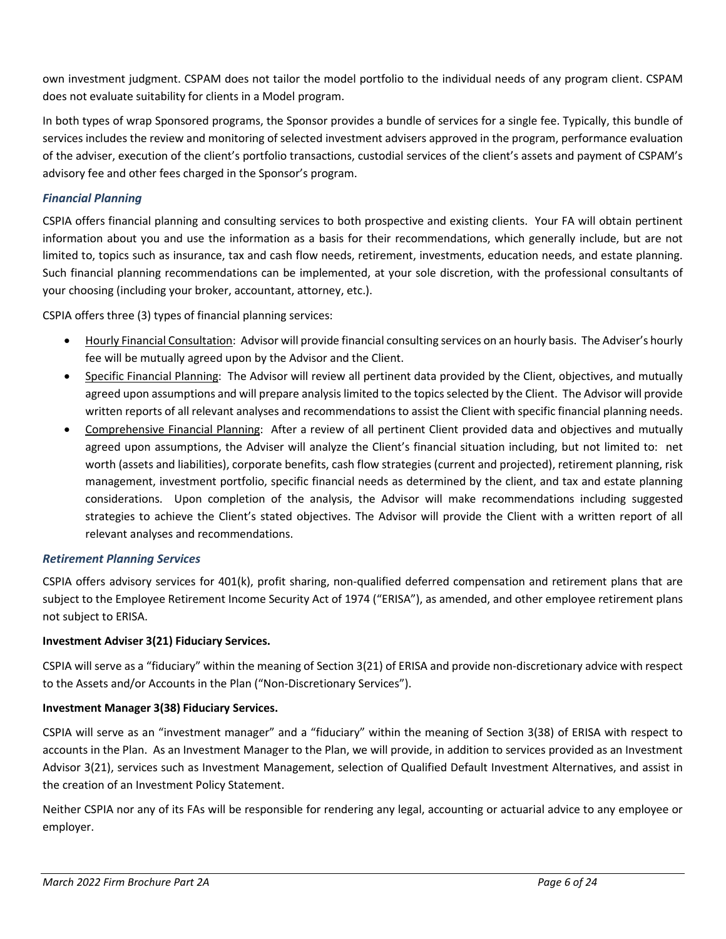own investment judgment. CSPAM does not tailor the model portfolio to the individual needs of any program client. CSPAM does not evaluate suitability for clients in a Model program.

In both types of wrap Sponsored programs, the Sponsor provides a bundle of services for a single fee. Typically, this bundle of services includes the review and monitoring of selected investment advisers approved in the program, performance evaluation of the adviser, execution of the client's portfolio transactions, custodial services of the client's assets and payment of CSPAM's advisory fee and other fees charged in the Sponsor's program.

### *Financial Planning*

CSPIA offers financial planning and consulting services to both prospective and existing clients. Your FA will obtain pertinent information about you and use the information as a basis for their recommendations, which generally include, but are not limited to, topics such as insurance, tax and cash flow needs, retirement, investments, education needs, and estate planning. Such financial planning recommendations can be implemented, at your sole discretion, with the professional consultants of your choosing (including your broker, accountant, attorney, etc.).

CSPIA offers three (3) types of financial planning services:

- Hourly Financial Consultation: Advisor will provide financial consulting services on an hourly basis. The Adviser's hourly fee will be mutually agreed upon by the Advisor and the Client.
- Specific Financial Planning: The Advisor will review all pertinent data provided by the Client, objectives, and mutually agreed upon assumptions and will prepare analysis limited to the topics selected by the Client. The Advisor will provide written reports of all relevant analyses and recommendations to assist the Client with specific financial planning needs.
- Comprehensive Financial Planning: After a review of all pertinent Client provided data and objectives and mutually agreed upon assumptions, the Adviser will analyze the Client's financial situation including, but not limited to: net worth (assets and liabilities), corporate benefits, cash flow strategies (current and projected), retirement planning, risk management, investment portfolio, specific financial needs as determined by the client, and tax and estate planning considerations. Upon completion of the analysis, the Advisor will make recommendations including suggested strategies to achieve the Client's stated objectives. The Advisor will provide the Client with a written report of all relevant analyses and recommendations.

#### *Retirement Planning Services*

CSPIA offers advisory services for 401(k), profit sharing, non-qualified deferred compensation and retirement plans that are subject to the Employee Retirement Income Security Act of 1974 ("ERISA"), as amended, and other employee retirement plans not subject to ERISA.

#### **Investment Adviser 3(21) Fiduciary Services.**

CSPIA will serve as a "fiduciary" within the meaning of Section 3(21) of ERISA and provide non-discretionary advice with respect to the Assets and/or Accounts in the Plan ("Non-Discretionary Services").

#### **Investment Manager 3(38) Fiduciary Services.**

CSPIA will serve as an "investment manager" and a "fiduciary" within the meaning of Section 3(38) of ERISA with respect to accounts in the Plan. As an Investment Manager to the Plan, we will provide, in addition to services provided as an Investment Advisor 3(21), services such as Investment Management, selection of Qualified Default Investment Alternatives, and assist in the creation of an Investment Policy Statement.

Neither CSPIA nor any of its FAs will be responsible for rendering any legal, accounting or actuarial advice to any employee or employer.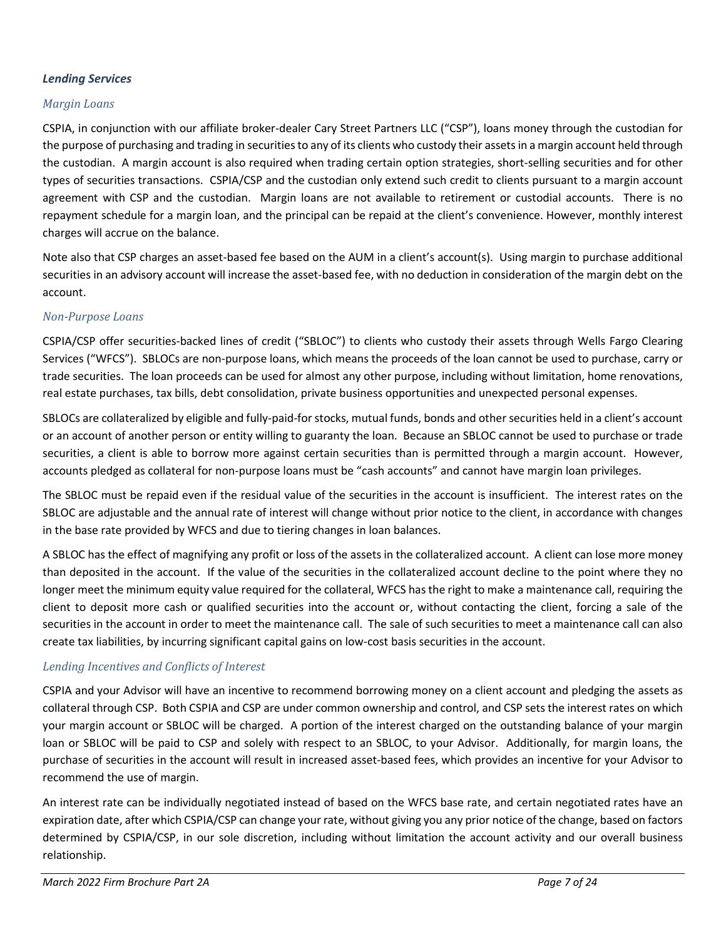#### *Lending Services*

#### *Margin Loans*

CSPIA, in conjunction with our affiliate broker-dealer Cary Street Partners LLC ("CSP"), loans money through the custodian for the purpose of purchasing and trading in securities to any of its clients who custody their assets in a margin account held through the custodian. A margin account is also required when trading certain option strategies, short-selling securities and for other types of securities transactions. CSPIA/CSP and the custodian only extend such credit to clients pursuant to a margin account agreement with CSP and the custodian. Margin loans are not available to retirement or custodial accounts. There is no repayment schedule for a margin loan, and the principal can be repaid at the client's convenience. However, monthly interest charges will accrue on the balance.

Note also that CSP charges an asset-based fee based on the AUM in a client's account(s). Using margin to purchase additional securities in an advisory account will increase the asset-based fee, with no deduction in consideration of the margin debt on the account.

#### *Non-Purpose Loans*

CSPIA/CSP offer securities-backed lines of credit ("SBLOC") to clients who custody their assets through Wells Fargo Clearing Services ("WFCS"). SBLOCs are non-purpose loans, which means the proceeds of the loan cannot be used to purchase, carry or trade securities. The loan proceeds can be used for almost any other purpose, including without limitation, home renovations, real estate purchases, tax bills, debt consolidation, private business opportunities and unexpected personal expenses.

SBLOCs are collateralized by eligible and fully-paid-for stocks, mutual funds, bonds and other securities held in a client's account or an account of another person or entity willing to guaranty the loan. Because an SBLOC cannot be used to purchase or trade securities, a client is able to borrow more against certain securities than is permitted through a margin account. However, accounts pledged as collateral for non-purpose loans must be "cash accounts" and cannot have margin loan privileges.

The SBLOC must be repaid even if the residual value of the securities in the account is insufficient. The interest rates on the SBLOC are adjustable and the annual rate of interest will change without prior notice to the client, in accordance with changes in the base rate provided by WFCS and due to tiering changes in loan balances.

A SBLOC has the effect of magnifying any profit or loss of the assets in the collateralized account. A client can lose more money than deposited in the account. If the value of the securities in the collateralized account decline to the point where they no longer meet the minimum equity value required for the collateral, WFCS has the right to make a maintenance call, requiring the client to deposit more cash or qualified securities into the account or, without contacting the client, forcing a sale of the securities in the account in order to meet the maintenance call. The sale of such securities to meet a maintenance call can also create tax liabilities, by incurring significant capital gains on low-cost basis securities in the account.

### *Lending Incentives and Conflicts of Interest*

CSPIA and your Advisor will have an incentive to recommend borrowing money on a client account and pledging the assets as collateral through CSP. Both CSPIA and CSP are under common ownership and control, and CSP sets the interest rates on which your margin account or SBLOC will be charged. A portion of the interest charged on the outstanding balance of your margin loan or SBLOC will be paid to CSP and solely with respect to an SBLOC, to your Advisor. Additionally, for margin loans, the purchase of securities in the account will result in increased asset-based fees, which provides an incentive for your Advisor to recommend the use of margin.

An interest rate can be individually negotiated instead of based on the WFCS base rate, and certain negotiated rates have an expiration date, after which CSPIA/CSP can change your rate, without giving you any prior notice of the change, based on factors determined by CSPIA/CSP, in our sole discretion, including without limitation the account activity and our overall business relationship.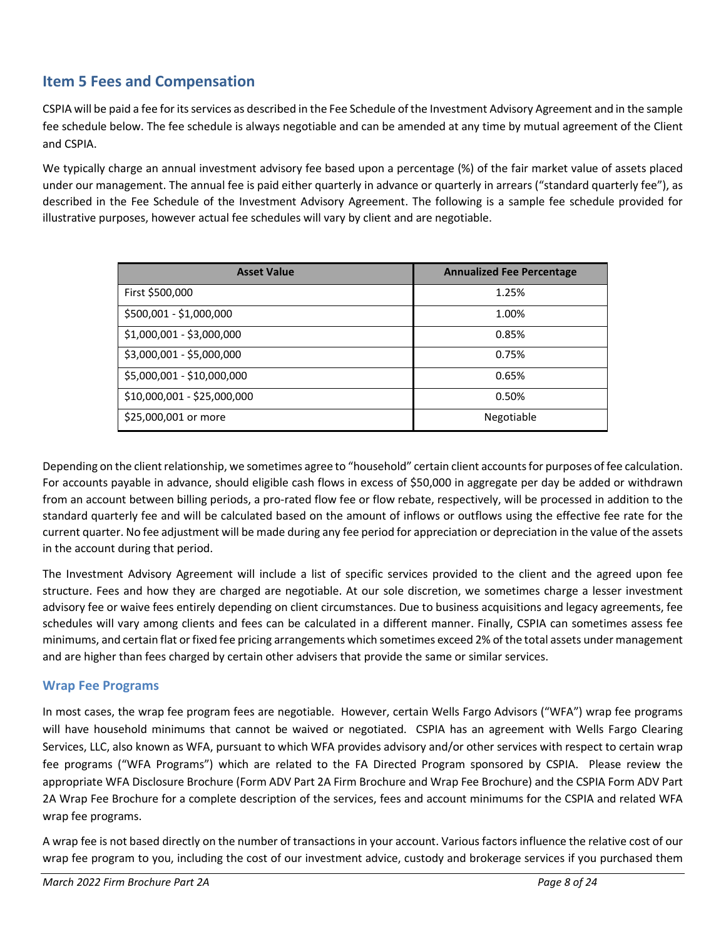### <span id="page-7-0"></span>**Item 5 Fees and Compensation**

CSPIA will be paid a fee for its services as described in the Fee Schedule of the Investment Advisory Agreement and in the sample fee schedule below. The fee schedule is always negotiable and can be amended at any time by mutual agreement of the Client and CSPIA.

We typically charge an annual investment advisory fee based upon a percentage (%) of the fair market value of assets placed under our management. The annual fee is paid either quarterly in advance or quarterly in arrears ("standard quarterly fee"), as described in the Fee Schedule of the Investment Advisory Agreement. The following is a sample fee schedule provided for illustrative purposes, however actual fee schedules will vary by client and are negotiable.

| <b>Asset Value</b>          | <b>Annualized Fee Percentage</b> |
|-----------------------------|----------------------------------|
| First \$500,000             | 1.25%                            |
| \$500,001 - \$1,000,000     | 1.00%                            |
| \$1,000,001 - \$3,000,000   | 0.85%                            |
| \$3,000,001 - \$5,000,000   | 0.75%                            |
| \$5,000,001 - \$10,000,000  | 0.65%                            |
| \$10,000,001 - \$25,000,000 | 0.50%                            |
| \$25,000,001 or more        | Negotiable                       |

Depending on the client relationship, we sometimes agree to "household" certain client accounts for purposes of fee calculation. For accounts payable in advance, should eligible cash flows in excess of \$50,000 in aggregate per day be added or withdrawn from an account between billing periods, a pro-rated flow fee or flow rebate, respectively, will be processed in addition to the standard quarterly fee and will be calculated based on the amount of inflows or outflows using the effective fee rate for the current quarter. No fee adjustment will be made during any fee period for appreciation or depreciation in the value of the assets in the account during that period.

The Investment Advisory Agreement will include a list of specific services provided to the client and the agreed upon fee structure. Fees and how they are charged are negotiable. At our sole discretion, we sometimes charge a lesser investment advisory fee or waive fees entirely depending on client circumstances. Due to business acquisitions and legacy agreements, fee schedules will vary among clients and fees can be calculated in a different manner. Finally, CSPIA can sometimes assess fee minimums, and certain flat or fixed fee pricing arrangements which sometimes exceed 2% of the total assets under management and are higher than fees charged by certain other advisers that provide the same or similar services.

### **Wrap Fee Programs**

In most cases, the wrap fee program fees are negotiable. However, certain Wells Fargo Advisors ("WFA") wrap fee programs will have household minimums that cannot be waived or negotiated. CSPIA has an agreement with Wells Fargo Clearing Services, LLC, also known as WFA, pursuant to which WFA provides advisory and/or other services with respect to certain wrap fee programs ("WFA Programs") which are related to the FA Directed Program sponsored by CSPIA. Please review the appropriate WFA Disclosure Brochure (Form ADV Part 2A Firm Brochure and Wrap Fee Brochure) and the CSPIA Form ADV Part 2A Wrap Fee Brochure for a complete description of the services, fees and account minimums for the CSPIA and related WFA wrap fee programs.

A wrap fee is not based directly on the number of transactions in your account. Various factors influence the relative cost of our wrap fee program to you, including the cost of our investment advice, custody and brokerage services if you purchased them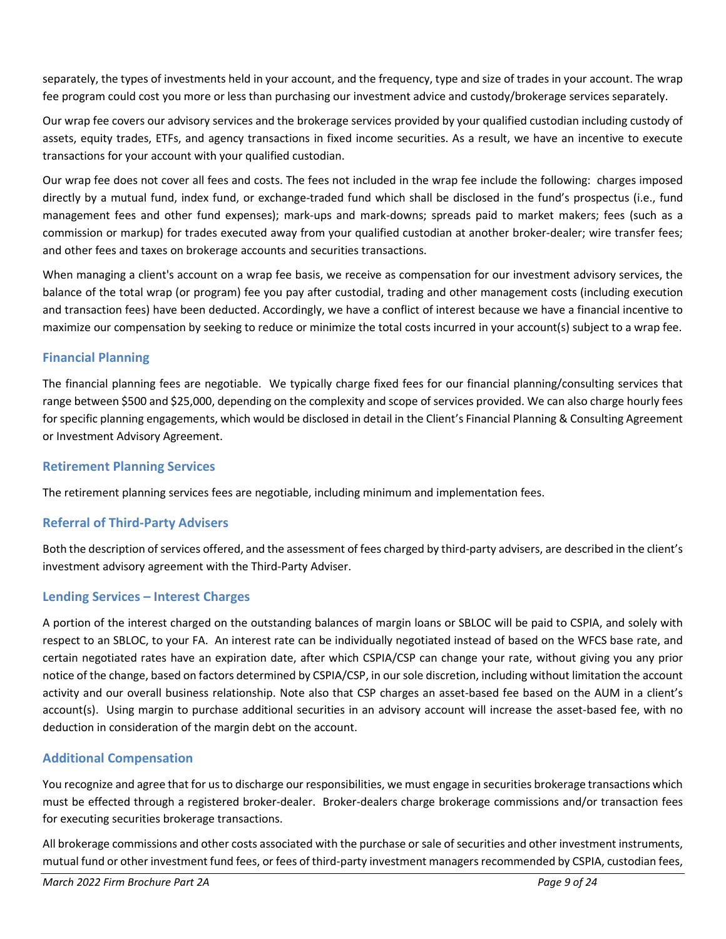separately, the types of investments held in your account, and the frequency, type and size of trades in your account. The wrap fee program could cost you more or less than purchasing our investment advice and custody/brokerage services separately.

Our wrap fee covers our advisory services and the brokerage services provided by your qualified custodian including custody of assets, equity trades, ETFs, and agency transactions in fixed income securities. As a result, we have an incentive to execute transactions for your account with your qualified custodian.

Our wrap fee does not cover all fees and costs. The fees not included in the wrap fee include the following: charges imposed directly by a mutual fund, index fund, or exchange-traded fund which shall be disclosed in the fund's prospectus (i.e., fund management fees and other fund expenses); mark-ups and mark-downs; spreads paid to market makers; fees (such as a commission or markup) for trades executed away from your qualified custodian at another broker-dealer; wire transfer fees; and other fees and taxes on brokerage accounts and securities transactions.

When managing a client's account on a wrap fee basis, we receive as compensation for our investment advisory services, the balance of the total wrap (or program) fee you pay after custodial, trading and other management costs (including execution and transaction fees) have been deducted. Accordingly, we have a conflict of interest because we have a financial incentive to maximize our compensation by seeking to reduce or minimize the total costs incurred in your account(s) subject to a wrap fee.

### **Financial Planning**

The financial planning fees are negotiable. We typically charge fixed fees for our financial planning/consulting services that range between \$500 and \$25,000, depending on the complexity and scope of services provided. We can also charge hourly fees for specific planning engagements, which would be disclosed in detail in the Client's Financial Planning & Consulting Agreement or Investment Advisory Agreement.

### **Retirement Planning Services**

The retirement planning services fees are negotiable, including minimum and implementation fees.

### **Referral of Third-Party Advisers**

Both the description of services offered, and the assessment of fees charged by third-party advisers, are described in the client's investment advisory agreement with the Third-Party Adviser.

### **Lending Services – Interest Charges**

A portion of the interest charged on the outstanding balances of margin loans or SBLOC will be paid to CSPIA, and solely with respect to an SBLOC, to your FA. An interest rate can be individually negotiated instead of based on the WFCS base rate, and certain negotiated rates have an expiration date, after which CSPIA/CSP can change your rate, without giving you any prior notice of the change, based on factors determined by CSPIA/CSP, in our sole discretion, including without limitation the account activity and our overall business relationship. Note also that CSP charges an asset-based fee based on the AUM in a client's account(s). Using margin to purchase additional securities in an advisory account will increase the asset-based fee, with no deduction in consideration of the margin debt on the account.

### **Additional Compensation**

You recognize and agree that for us to discharge our responsibilities, we must engage in securities brokerage transactions which must be effected through a registered broker-dealer. Broker-dealers charge brokerage commissions and/or transaction fees for executing securities brokerage transactions.

All brokerage commissions and other costs associated with the purchase or sale of securities and other investment instruments, mutual fund or other investment fund fees, or fees of third-party investment managers recommended by CSPIA, custodian fees,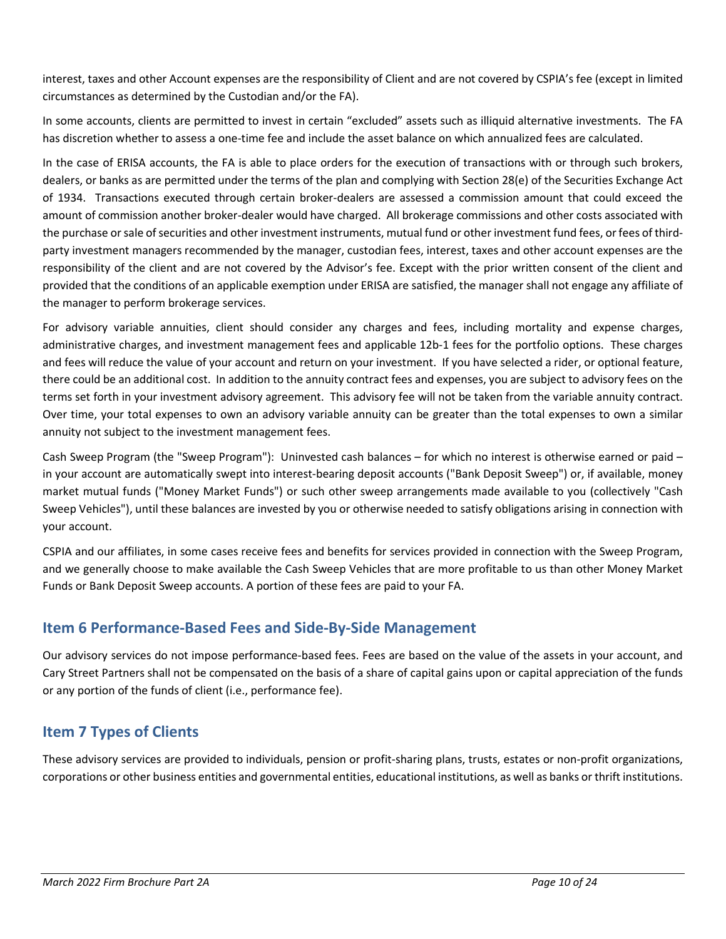interest, taxes and other Account expenses are the responsibility of Client and are not covered by CSPIA's fee (except in limited circumstances as determined by the Custodian and/or the FA).

In some accounts, clients are permitted to invest in certain "excluded" assets such as illiquid alternative investments. The FA has discretion whether to assess a one-time fee and include the asset balance on which annualized fees are calculated.

In the case of ERISA accounts, the FA is able to place orders for the execution of transactions with or through such brokers, dealers, or banks as are permitted under the terms of the plan and complying with Section 28(e) of the Securities Exchange Act of 1934. Transactions executed through certain broker-dealers are assessed a commission amount that could exceed the amount of commission another broker-dealer would have charged. All brokerage commissions and other costs associated with the purchase or sale of securities and other investment instruments, mutual fund or other investment fund fees, or fees of thirdparty investment managers recommended by the manager, custodian fees, interest, taxes and other account expenses are the responsibility of the client and are not covered by the Advisor's fee. Except with the prior written consent of the client and provided that the conditions of an applicable exemption under ERISA are satisfied, the manager shall not engage any affiliate of the manager to perform brokerage services.

For advisory variable annuities, client should consider any charges and fees, including mortality and expense charges, administrative charges, and investment management fees and applicable 12b-1 fees for the portfolio options. These charges and fees will reduce the value of your account and return on your investment. If you have selected a rider, or optional feature, there could be an additional cost. In addition to the annuity contract fees and expenses, you are subject to advisory fees on the terms set forth in your investment advisory agreement. This advisory fee will not be taken from the variable annuity contract. Over time, your total expenses to own an advisory variable annuity can be greater than the total expenses to own a similar annuity not subject to the investment management fees.

Cash Sweep Program (the "Sweep Program"): Uninvested cash balances – for which no interest is otherwise earned or paid – in your account are automatically swept into interest-bearing deposit accounts ("Bank Deposit Sweep") or, if available, money market mutual funds ("Money Market Funds") or such other sweep arrangements made available to you (collectively "Cash Sweep Vehicles"), until these balances are invested by you or otherwise needed to satisfy obligations arising in connection with your account.

CSPIA and our affiliates, in some cases receive fees and benefits for services provided in connection with the Sweep Program, and we generally choose to make available the Cash Sweep Vehicles that are more profitable to us than other Money Market Funds or Bank Deposit Sweep accounts. A portion of these fees are paid to your FA.

### <span id="page-9-0"></span>**Item 6 Performance-Based Fees and Side-By-Side Management**

Our advisory services do not impose performance-based fees. Fees are based on the value of the assets in your account, and Cary Street Partners shall not be compensated on the basis of a share of capital gains upon or capital appreciation of the funds or any portion of the funds of client (i.e., performance fee).

### <span id="page-9-1"></span>**Item 7 Types of Clients**

These advisory services are provided to individuals, pension or profit-sharing plans, trusts, estates or non-profit organizations, corporations or other business entities and governmental entities, educational institutions, as well as banks or thrift institutions.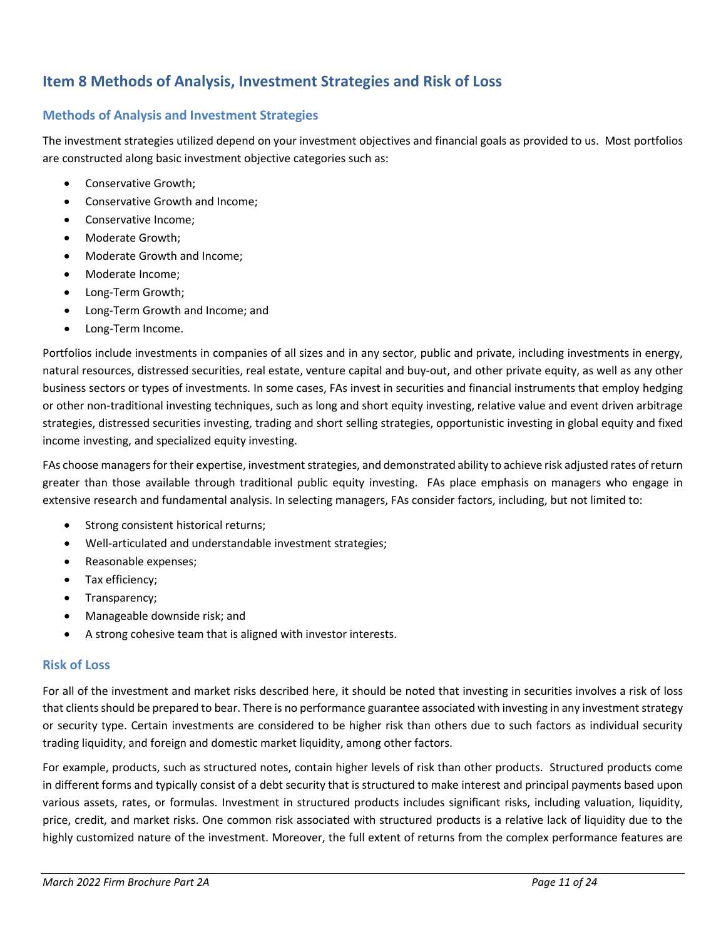## <span id="page-10-0"></span>**Item 8 Methods of Analysis, Investment Strategies and Risk of Loss**

### **Methods of Analysis and Investment Strategies**

The investment strategies utilized depend on your investment objectives and financial goals as provided to us. Most portfolios are constructed along basic investment objective categories such as:

- Conservative Growth;
- Conservative Growth and Income;
- Conservative Income;
- Moderate Growth;
- Moderate Growth and Income;
- Moderate Income;
- Long-Term Growth;
- Long-Term Growth and Income; and
- Long-Term Income.

Portfolios include investments in companies of all sizes and in any sector, public and private, including investments in energy, natural resources, distressed securities, real estate, venture capital and buy-out, and other private equity, as well as any other business sectors or types of investments. In some cases, FAs invest in securities and financial instruments that employ hedging or other non-traditional investing techniques, such as long and short equity investing, relative value and event driven arbitrage strategies, distressed securities investing, trading and short selling strategies, opportunistic investing in global equity and fixed income investing, and specialized equity investing.

FAs choose managers for their expertise, investment strategies, and demonstrated ability to achieve risk adjusted rates of return greater than those available through traditional public equity investing. FAs place emphasis on managers who engage in extensive research and fundamental analysis. In selecting managers, FAs consider factors, including, but not limited to:

- Strong consistent historical returns;
- Well-articulated and understandable investment strategies;
- Reasonable expenses;
- Tax efficiency;
- Transparency;
- Manageable downside risk; and
- A strong cohesive team that is aligned with investor interests.

#### **Risk of Loss**

For all of the investment and market risks described here, it should be noted that investing in securities involves a risk of loss that clients should be prepared to bear. There is no performance guarantee associated with investing in any investment strategy or security type. Certain investments are considered to be higher risk than others due to such factors as individual security trading liquidity, and foreign and domestic market liquidity, among other factors.

For example, products, such as structured notes, contain higher levels of risk than other products. Structured products come in different forms and typically consist of a debt security that is structured to make interest and principal payments based upon various assets, rates, or formulas. Investment in structured products includes significant risks, including valuation, liquidity, price, credit, and market risks. One common risk associated with structured products is a relative lack of liquidity due to the highly customized nature of the investment. Moreover, the full extent of returns from the complex performance features are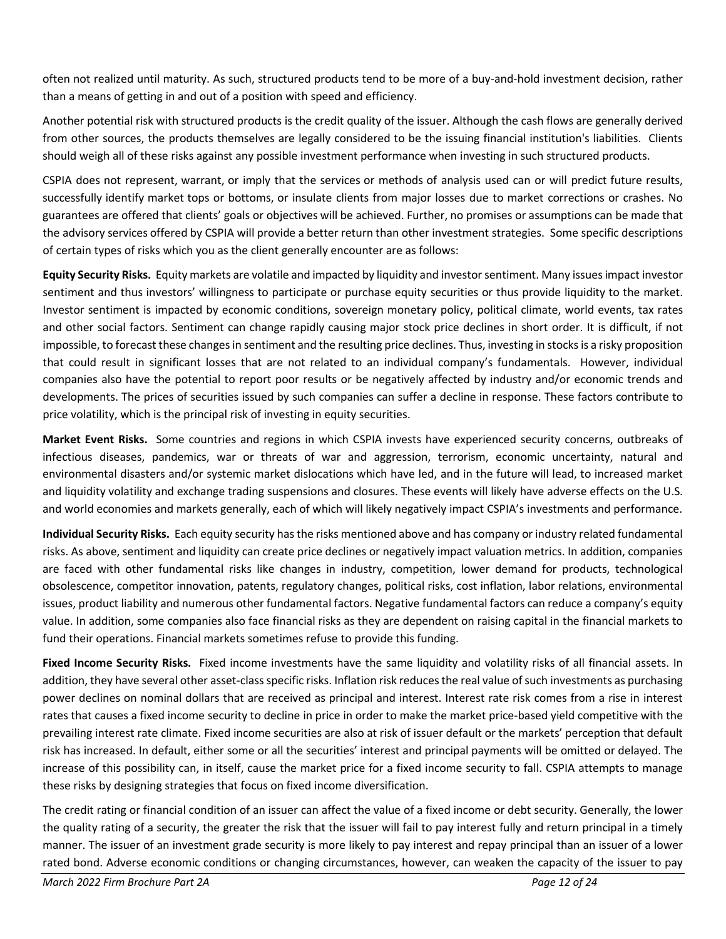often not realized until maturity. As such, structured products tend to be more of a buy-and-hold investment decision, rather than a means of getting in and out of a position with speed and efficiency.

Another potential risk with structured products is the credit quality of the issuer. Although the cash flows are generally derived from other sources, the products themselves are legally considered to be the issuing financial institution's liabilities. Clients should weigh all of these risks against any possible investment performance when investing in such structured products.

CSPIA does not represent, warrant, or imply that the services or methods of analysis used can or will predict future results, successfully identify market tops or bottoms, or insulate clients from major losses due to market corrections or crashes. No guarantees are offered that clients' goals or objectives will be achieved. Further, no promises or assumptions can be made that the advisory services offered by CSPIA will provide a better return than other investment strategies. Some specific descriptions of certain types of risks which you as the client generally encounter are as follows:

**Equity Security Risks.** Equity markets are volatile and impacted by liquidity and investor sentiment. Many issues impact investor sentiment and thus investors' willingness to participate or purchase equity securities or thus provide liquidity to the market. Investor sentiment is impacted by economic conditions, sovereign monetary policy, political climate, world events, tax rates and other social factors. Sentiment can change rapidly causing major stock price declines in short order. It is difficult, if not impossible, to forecast these changes in sentiment and the resulting price declines. Thus, investing in stocks is a risky proposition that could result in significant losses that are not related to an individual company's fundamentals. However, individual companies also have the potential to report poor results or be negatively affected by industry and/or economic trends and developments. The prices of securities issued by such companies can suffer a decline in response. These factors contribute to price volatility, which is the principal risk of investing in equity securities.

**Market Event Risks.** Some countries and regions in which CSPIA invests have experienced security concerns, outbreaks of infectious diseases, pandemics, war or threats of war and aggression, terrorism, economic uncertainty, natural and environmental disasters and/or systemic market dislocations which have led, and in the future will lead, to increased market and liquidity volatility and exchange trading suspensions and closures. These events will likely have adverse effects on the U.S. and world economies and markets generally, each of which will likely negatively impact CSPIA's investments and performance.

**Individual Security Risks.** Each equity security has the risks mentioned above and has company or industry related fundamental risks. As above, sentiment and liquidity can create price declines or negatively impact valuation metrics. In addition, companies are faced with other fundamental risks like changes in industry, competition, lower demand for products, technological obsolescence, competitor innovation, patents, regulatory changes, political risks, cost inflation, labor relations, environmental issues, product liability and numerous other fundamental factors. Negative fundamental factors can reduce a company's equity value. In addition, some companies also face financial risks as they are dependent on raising capital in the financial markets to fund their operations. Financial markets sometimes refuse to provide this funding.

**Fixed Income Security Risks.** Fixed income investments have the same liquidity and volatility risks of all financial assets. In addition, they have several other asset-class specific risks. Inflation risk reduces the real value of such investments as purchasing power declines on nominal dollars that are received as principal and interest. Interest rate risk comes from a rise in interest rates that causes a fixed income security to decline in price in order to make the market price-based yield competitive with the prevailing interest rate climate. Fixed income securities are also at risk of issuer default or the markets' perception that default risk has increased. In default, either some or all the securities' interest and principal payments will be omitted or delayed. The increase of this possibility can, in itself, cause the market price for a fixed income security to fall. CSPIA attempts to manage these risks by designing strategies that focus on fixed income diversification.

The credit rating or financial condition of an issuer can affect the value of a fixed income or debt security. Generally, the lower the quality rating of a security, the greater the risk that the issuer will fail to pay interest fully and return principal in a timely manner. The issuer of an investment grade security is more likely to pay interest and repay principal than an issuer of a lower rated bond. Adverse economic conditions or changing circumstances, however, can weaken the capacity of the issuer to pay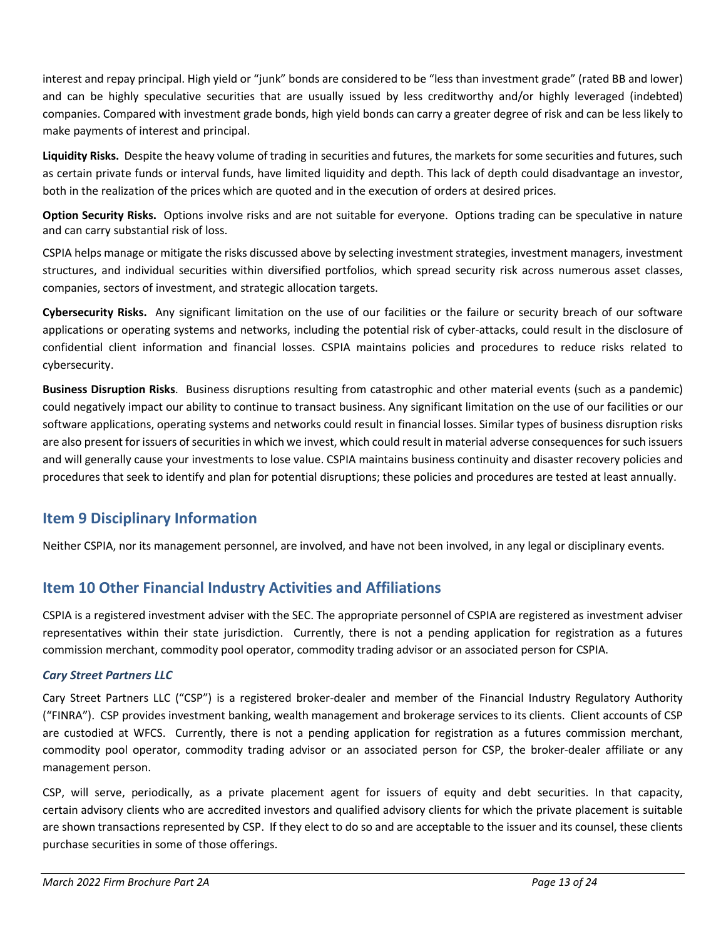interest and repay principal. High yield or "junk" bonds are considered to be "less than investment grade" (rated BB and lower) and can be highly speculative securities that are usually issued by less creditworthy and/or highly leveraged (indebted) companies. Compared with investment grade bonds, high yield bonds can carry a greater degree of risk and can be less likely to make payments of interest and principal.

**Liquidity Risks.** Despite the heavy volume of trading in securities and futures, the markets for some securities and futures, such as certain private funds or interval funds, have limited liquidity and depth. This lack of depth could disadvantage an investor, both in the realization of the prices which are quoted and in the execution of orders at desired prices.

**Option Security Risks.** Options involve risks and are not suitable for everyone. Options trading can be speculative in nature and can carry substantial risk of loss.

CSPIA helps manage or mitigate the risks discussed above by selecting investment strategies, investment managers, investment structures, and individual securities within diversified portfolios, which spread security risk across numerous asset classes, companies, sectors of investment, and strategic allocation targets.

**Cybersecurity Risks.** Any significant limitation on the use of our facilities or the failure or security breach of our software applications or operating systems and networks, including the potential risk of cyber-attacks, could result in the disclosure of confidential client information and financial losses. CSPIA maintains policies and procedures to reduce risks related to cybersecurity.

**Business Disruption Risks**. Business disruptions resulting from catastrophic and other material events (such as a pandemic) could negatively impact our ability to continue to transact business. Any significant limitation on the use of our facilities or our software applications, operating systems and networks could result in financial losses. Similar types of business disruption risks are also present for issuers of securities in which we invest, which could result in material adverse consequences for such issuers and will generally cause your investments to lose value. CSPIA maintains business continuity and disaster recovery policies and procedures that seek to identify and plan for potential disruptions; these policies and procedures are tested at least annually.

# <span id="page-12-0"></span>**Item 9 Disciplinary Information**

Neither CSPIA, nor its management personnel, are involved, and have not been involved, in any legal or disciplinary events.

### <span id="page-12-1"></span>**Item 10 Other Financial Industry Activities and Affiliations**

CSPIA is a registered investment adviser with the SEC. The appropriate personnel of CSPIA are registered as investment adviser representatives within their state jurisdiction. Currently, there is not a pending application for registration as a futures commission merchant, commodity pool operator, commodity trading advisor or an associated person for CSPIA.

### *Cary Street Partners LLC*

Cary Street Partners LLC ("CSP") is a registered broker-dealer and member of the Financial Industry Regulatory Authority ("FINRA"). CSP provides investment banking, wealth management and brokerage services to its clients. Client accounts of CSP are custodied at WFCS. Currently, there is not a pending application for registration as a futures commission merchant, commodity pool operator, commodity trading advisor or an associated person for CSP, the broker-dealer affiliate or any management person.

CSP, will serve, periodically, as a private placement agent for issuers of equity and debt securities. In that capacity, certain advisory clients who are accredited investors and qualified advisory clients for which the private placement is suitable are shown transactions represented by CSP. If they elect to do so and are acceptable to the issuer and its counsel, these clients purchase securities in some of those offerings.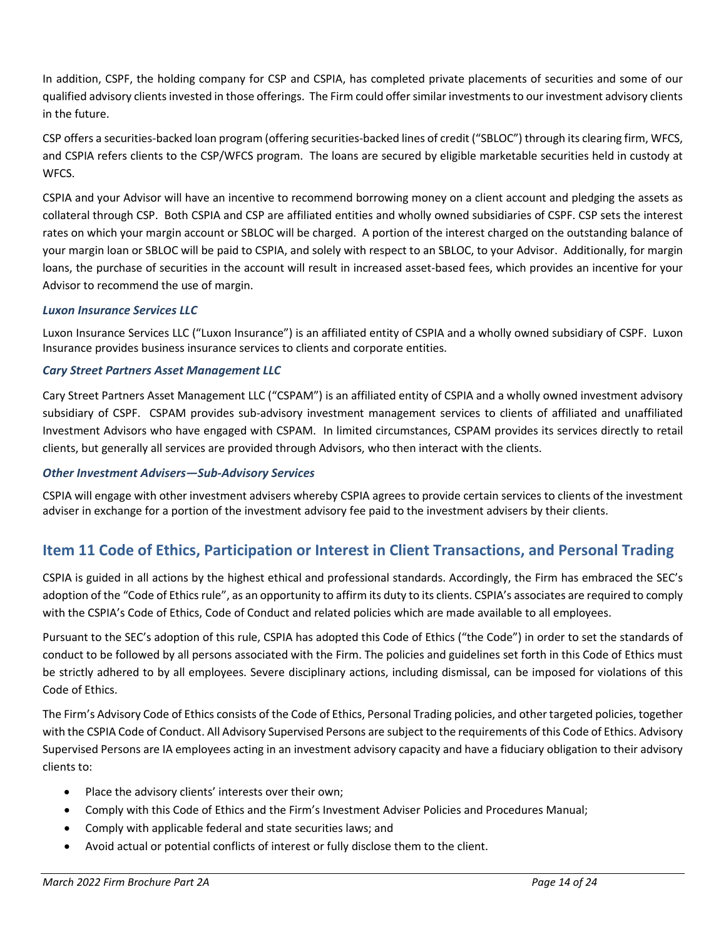In addition, CSPF, the holding company for CSP and CSPIA, has completed private placements of securities and some of our qualified advisory clients invested in those offerings. The Firm could offer similar investments to our investment advisory clients in the future.

CSP offers a securities-backed loan program (offering securities-backed lines of credit ("SBLOC") through its clearing firm, WFCS, and CSPIA refers clients to the CSP/WFCS program. The loans are secured by eligible marketable securities held in custody at **WECS** 

CSPIA and your Advisor will have an incentive to recommend borrowing money on a client account and pledging the assets as collateral through CSP. Both CSPIA and CSP are affiliated entities and wholly owned subsidiaries of CSPF. CSP sets the interest rates on which your margin account or SBLOC will be charged. A portion of the interest charged on the outstanding balance of your margin loan or SBLOC will be paid to CSPIA, and solely with respect to an SBLOC, to your Advisor. Additionally, for margin loans, the purchase of securities in the account will result in increased asset-based fees, which provides an incentive for your Advisor to recommend the use of margin.

#### *Luxon Insurance Services LLC*

Luxon Insurance Services LLC ("Luxon Insurance") is an affiliated entity of CSPIA and a wholly owned subsidiary of CSPF. Luxon Insurance provides business insurance services to clients and corporate entities.

#### *Cary Street Partners Asset Management LLC*

Cary Street Partners Asset Management LLC ("CSPAM") is an affiliated entity of CSPIA and a wholly owned investment advisory subsidiary of CSPF. CSPAM provides sub-advisory investment management services to clients of affiliated and unaffiliated Investment Advisors who have engaged with CSPAM. In limited circumstances, CSPAM provides its services directly to retail clients, but generally all services are provided through Advisors, who then interact with the clients.

#### *Other Investment Advisers—Sub-Advisory Services*

CSPIA will engage with other investment advisers whereby CSPIA agrees to provide certain services to clients of the investment adviser in exchange for a portion of the investment advisory fee paid to the investment advisers by their clients.

### <span id="page-13-0"></span>**Item 11 Code of Ethics, Participation or Interest in Client Transactions, and Personal Trading**

CSPIA is guided in all actions by the highest ethical and professional standards. Accordingly, the Firm has embraced the SEC's adoption of the "Code of Ethics rule", as an opportunity to affirm its duty to its clients. CSPIA's associates are required to comply with the CSPIA's Code of Ethics, Code of Conduct and related policies which are made available to all employees.

Pursuant to the SEC's adoption of this rule, CSPIA has adopted this Code of Ethics ("the Code") in order to set the standards of conduct to be followed by all persons associated with the Firm. The policies and guidelines set forth in this Code of Ethics must be strictly adhered to by all employees. Severe disciplinary actions, including dismissal, can be imposed for violations of this Code of Ethics.

The Firm's Advisory Code of Ethics consists of the Code of Ethics, Personal Trading policies, and other targeted policies, together with the CSPIA Code of Conduct. All Advisory Supervised Persons are subject to the requirements of this Code of Ethics. Advisory Supervised Persons are IA employees acting in an investment advisory capacity and have a fiduciary obligation to their advisory clients to:

- Place the advisory clients' interests over their own;
- Comply with this Code of Ethics and the Firm's Investment Adviser Policies and Procedures Manual;
- Comply with applicable federal and state securities laws; and
- Avoid actual or potential conflicts of interest or fully disclose them to the client.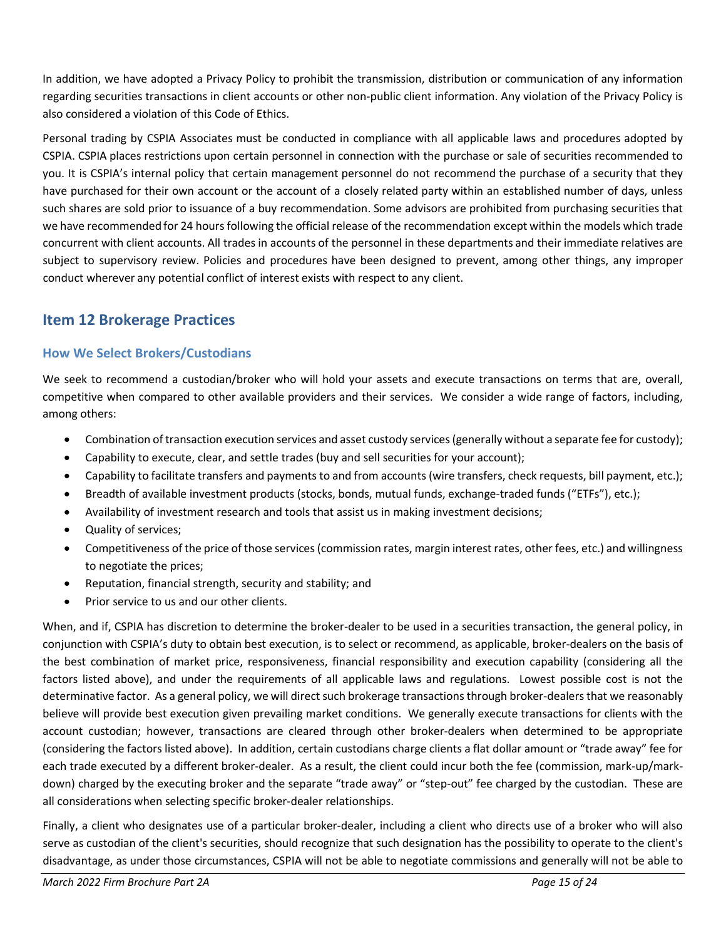In addition, we have adopted a Privacy Policy to prohibit the transmission, distribution or communication of any information regarding securities transactions in client accounts or other non-public client information. Any violation of the Privacy Policy is also considered a violation of this Code of Ethics.

Personal trading by CSPIA Associates must be conducted in compliance with all applicable laws and procedures adopted by CSPIA. CSPIA places restrictions upon certain personnel in connection with the purchase or sale of securities recommended to you. It is CSPIA's internal policy that certain management personnel do not recommend the purchase of a security that they have purchased for their own account or the account of a closely related party within an established number of days, unless such shares are sold prior to issuance of a buy recommendation. Some advisors are prohibited from purchasing securities that we have recommended for 24 hours following the official release of the recommendation except within the models which trade concurrent with client accounts. All trades in accounts of the personnel in these departments and their immediate relatives are subject to supervisory review. Policies and procedures have been designed to prevent, among other things, any improper conduct wherever any potential conflict of interest exists with respect to any client.

## <span id="page-14-0"></span>**Item 12 Brokerage Practices**

### **How We Select Brokers/Custodians**

We seek to recommend a custodian/broker who will hold your assets and execute transactions on terms that are, overall, competitive when compared to other available providers and their services. We consider a wide range of factors, including, among others:

- Combination of transaction execution services and asset custody services (generally without a separate fee for custody);
- Capability to execute, clear, and settle trades (buy and sell securities for your account);
- Capability to facilitate transfers and payments to and from accounts (wire transfers, check requests, bill payment, etc.);
- Breadth of available investment products (stocks, bonds, mutual funds, exchange-traded funds ("ETFs"), etc.);
- Availability of investment research and tools that assist us in making investment decisions;
- Quality of services:
- Competitiveness of the price of those services (commission rates, margin interest rates, other fees, etc.) and willingness to negotiate the prices;
- Reputation, financial strength, security and stability; and
- Prior service to us and our other clients.

When, and if, CSPIA has discretion to determine the broker-dealer to be used in a securities transaction, the general policy, in conjunction with CSPIA's duty to obtain best execution, is to select or recommend, as applicable, broker-dealers on the basis of the best combination of market price, responsiveness, financial responsibility and execution capability (considering all the factors listed above), and under the requirements of all applicable laws and regulations. Lowest possible cost is not the determinative factor. As a general policy, we will direct such brokerage transactions through broker-dealers that we reasonably believe will provide best execution given prevailing market conditions. We generally execute transactions for clients with the account custodian; however, transactions are cleared through other broker-dealers when determined to be appropriate (considering the factors listed above). In addition, certain custodians charge clients a flat dollar amount or "trade away" fee for each trade executed by a different broker-dealer. As a result, the client could incur both the fee (commission, mark-up/markdown) charged by the executing broker and the separate "trade away" or "step-out" fee charged by the custodian. These are all considerations when selecting specific broker-dealer relationships.

Finally, a client who designates use of a particular broker-dealer, including a client who directs use of a broker who will also serve as custodian of the client's securities, should recognize that such designation has the possibility to operate to the client's disadvantage, as under those circumstances, CSPIA will not be able to negotiate commissions and generally will not be able to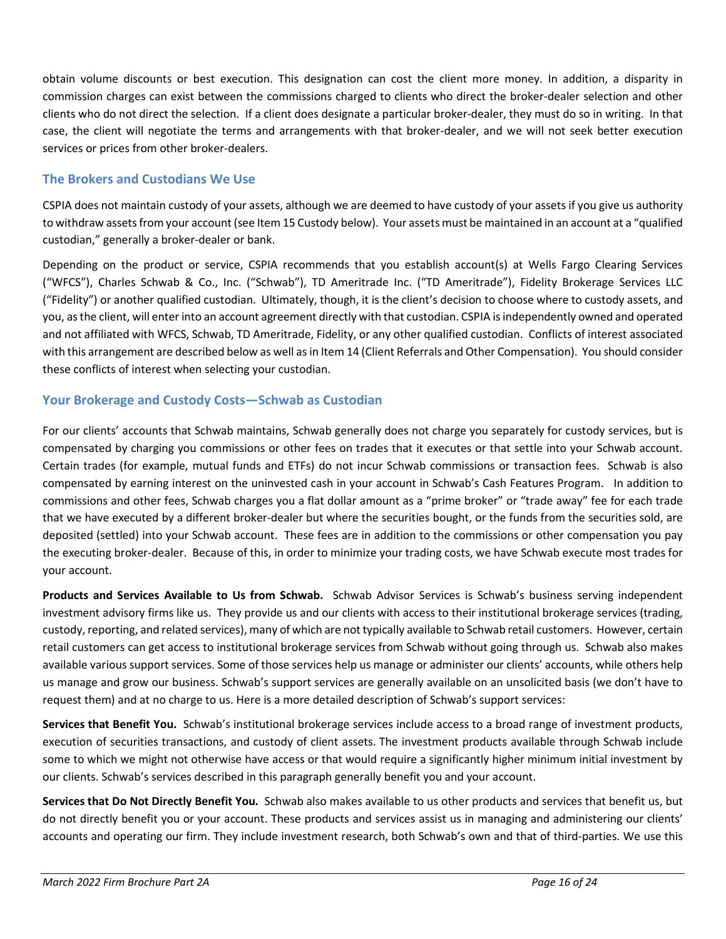obtain volume discounts or best execution. This designation can cost the client more money. In addition, a disparity in commission charges can exist between the commissions charged to clients who direct the broker-dealer selection and other clients who do not direct the selection. If a client does designate a particular broker-dealer, they must do so in writing. In that case, the client will negotiate the terms and arrangements with that broker-dealer, and we will not seek better execution services or prices from other broker-dealers.

### **The Brokers and Custodians We Use**

CSPIA does not maintain custody of your assets, although we are deemed to have custody of your assets if you give us authority to withdraw assets from your account (see Item 15 Custody below). Your assets must be maintained in an account at a "qualified custodian," generally a broker-dealer or bank.

Depending on the product or service, CSPIA recommends that you establish account(s) at Wells Fargo Clearing Services ("WFCS"), Charles Schwab & Co., Inc. ("Schwab"), TD Ameritrade Inc. ("TD Ameritrade"), Fidelity Brokerage Services LLC ("Fidelity") or another qualified custodian. Ultimately, though, it is the client's decision to choose where to custody assets, and you, as the client, will enter into an account agreement directly with that custodian. CSPIA is independently owned and operated and not affiliated with WFCS, Schwab, TD Ameritrade, Fidelity, or any other qualified custodian. Conflicts of interest associated with this arrangement are described below as well as in Item 14 (Client Referrals and Other Compensation). You should consider these conflicts of interest when selecting your custodian.

### **Your Brokerage and Custody Costs—Schwab as Custodian**

For our clients' accounts that Schwab maintains, Schwab generally does not charge you separately for custody services, but is compensated by charging you commissions or other fees on trades that it executes or that settle into your Schwab account. Certain trades (for example, mutual funds and ETFs) do not incur Schwab commissions or transaction fees. Schwab is also compensated by earning interest on the uninvested cash in your account in Schwab's Cash Features Program. In addition to commissions and other fees, Schwab charges you a flat dollar amount as a "prime broker" or "trade away" fee for each trade that we have executed by a different broker-dealer but where the securities bought, or the funds from the securities sold, are deposited (settled) into your Schwab account. These fees are in addition to the commissions or other compensation you pay the executing broker-dealer. Because of this, in order to minimize your trading costs, we have Schwab execute most trades for your account.

**Products and Services Available to Us from Schwab.** Schwab Advisor Services is Schwab's business serving independent investment advisory firms like us. They provide us and our clients with access to their institutional brokerage services (trading, custody, reporting, and related services), many of which are not typically available to Schwab retail customers. However, certain retail customers can get access to institutional brokerage services from Schwab without going through us. Schwab also makes available various support services. Some of those services help us manage or administer our clients' accounts, while others help us manage and grow our business. Schwab's support services are generally available on an unsolicited basis (we don't have to request them) and at no charge to us. Here is a more detailed description of Schwab's support services:

**Services that Benefit You.** Schwab's institutional brokerage services include access to a broad range of investment products, execution of securities transactions, and custody of client assets. The investment products available through Schwab include some to which we might not otherwise have access or that would require a significantly higher minimum initial investment by our clients. Schwab's services described in this paragraph generally benefit you and your account.

**Services that Do Not Directly Benefit You.** Schwab also makes available to us other products and services that benefit us, but do not directly benefit you or your account. These products and services assist us in managing and administering our clients' accounts and operating our firm. They include investment research, both Schwab's own and that of third-parties. We use this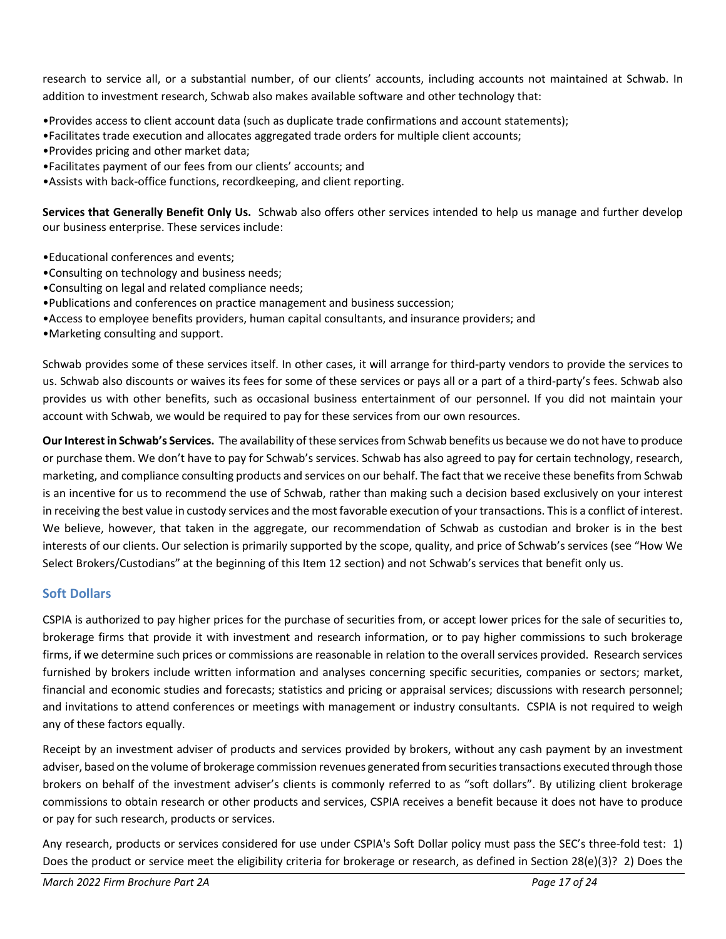research to service all, or a substantial number, of our clients' accounts, including accounts not maintained at Schwab. In addition to investment research, Schwab also makes available software and other technology that:

•Provides access to client account data (such as duplicate trade confirmations and account statements);

- •Facilitates trade execution and allocates aggregated trade orders for multiple client accounts;
- •Provides pricing and other market data;
- •Facilitates payment of our fees from our clients' accounts; and
- •Assists with back-office functions, recordkeeping, and client reporting.

**Services that Generally Benefit Only Us.** Schwab also offers other services intended to help us manage and further develop our business enterprise. These services include:

- •Educational conferences and events;
- •Consulting on technology and business needs;
- •Consulting on legal and related compliance needs;
- •Publications and conferences on practice management and business succession;
- •Access to employee benefits providers, human capital consultants, and insurance providers; and
- •Marketing consulting and support.

Schwab provides some of these services itself. In other cases, it will arrange for third-party vendors to provide the services to us. Schwab also discounts or waives its fees for some of these services or pays all or a part of a third-party's fees. Schwab also provides us with other benefits, such as occasional business entertainment of our personnel. If you did not maintain your account with Schwab, we would be required to pay for these services from our own resources.

**Our Interest in Schwab's Services.** The availability of these services from Schwab benefits us because we do not have to produce or purchase them. We don't have to pay for Schwab's services. Schwab has also agreed to pay for certain technology, research, marketing, and compliance consulting products and services on our behalf. The fact that we receive these benefits from Schwab is an incentive for us to recommend the use of Schwab, rather than making such a decision based exclusively on your interest in receiving the best value in custody services and the most favorable execution of your transactions. This is a conflict of interest. We believe, however, that taken in the aggregate, our recommendation of Schwab as custodian and broker is in the best interests of our clients. Our selection is primarily supported by the scope, quality, and price of Schwab's services (see "How We Select Brokers/Custodians" at the beginning of this Item 12 section) and not Schwab's services that benefit only us.

### **Soft Dollars**

CSPIA is authorized to pay higher prices for the purchase of securities from, or accept lower prices for the sale of securities to, brokerage firms that provide it with investment and research information, or to pay higher commissions to such brokerage firms, if we determine such prices or commissions are reasonable in relation to the overall services provided. Research services furnished by brokers include written information and analyses concerning specific securities, companies or sectors; market, financial and economic studies and forecasts; statistics and pricing or appraisal services; discussions with research personnel; and invitations to attend conferences or meetings with management or industry consultants. CSPIA is not required to weigh any of these factors equally.

Receipt by an investment adviser of products and services provided by brokers, without any cash payment by an investment adviser, based on the volume of brokerage commission revenues generated from securities transactions executed through those brokers on behalf of the investment adviser's clients is commonly referred to as "soft dollars". By utilizing client brokerage commissions to obtain research or other products and services, CSPIA receives a benefit because it does not have to produce or pay for such research, products or services.

Any research, products or services considered for use under CSPIA's Soft Dollar policy must pass the SEC's three-fold test: 1) Does the product or service meet the eligibility criteria for brokerage or research, as defined in Section 28(e)(3)? 2) Does the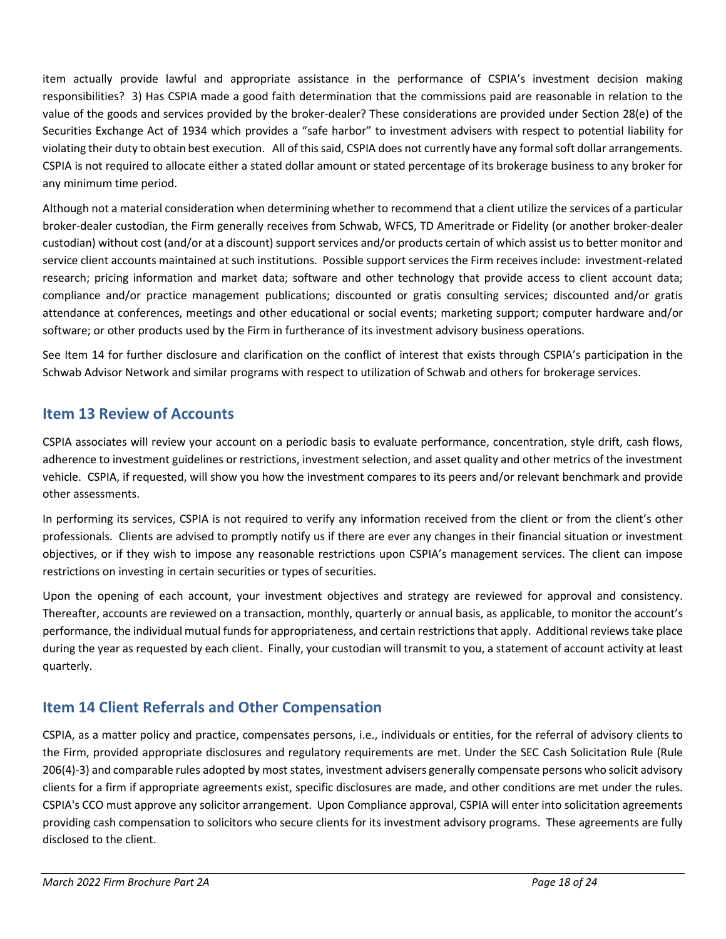item actually provide lawful and appropriate assistance in the performance of CSPIA's investment decision making responsibilities? 3) Has CSPIA made a good faith determination that the commissions paid are reasonable in relation to the value of the goods and services provided by the broker-dealer? These considerations are provided under Section 28(e) of the Securities Exchange Act of 1934 which provides a "safe harbor" to investment advisers with respect to potential liability for violating their duty to obtain best execution. All of this said, CSPIA does not currently have any formal soft dollar arrangements. CSPIA is not required to allocate either a stated dollar amount or stated percentage of its brokerage business to any broker for any minimum time period.

Although not a material consideration when determining whether to recommend that a client utilize the services of a particular broker-dealer custodian, the Firm generally receives from Schwab, WFCS, TD Ameritrade or Fidelity (or another broker-dealer custodian) without cost (and/or at a discount) support services and/or products certain of which assist us to better monitor and service client accounts maintained at such institutions. Possible support services the Firm receives include: investment-related research; pricing information and market data; software and other technology that provide access to client account data; compliance and/or practice management publications; discounted or gratis consulting services; discounted and/or gratis attendance at conferences, meetings and other educational or social events; marketing support; computer hardware and/or software; or other products used by the Firm in furtherance of its investment advisory business operations.

See Item 14 for further disclosure and clarification on the conflict of interest that exists through CSPIA's participation in the Schwab Advisor Network and similar programs with respect to utilization of Schwab and others for brokerage services.

### <span id="page-17-0"></span>**Item 13 Review of Accounts**

CSPIA associates will review your account on a periodic basis to evaluate performance, concentration, style drift, cash flows, adherence to investment guidelines or restrictions, investment selection, and asset quality and other metrics of the investment vehicle. CSPIA, if requested, will show you how the investment compares to its peers and/or relevant benchmark and provide other assessments.

In performing its services, CSPIA is not required to verify any information received from the client or from the client's other professionals. Clients are advised to promptly notify us if there are ever any changes in their financial situation or investment objectives, or if they wish to impose any reasonable restrictions upon CSPIA's management services. The client can impose restrictions on investing in certain securities or types of securities.

Upon the opening of each account, your investment objectives and strategy are reviewed for approval and consistency. Thereafter, accounts are reviewed on a transaction, monthly, quarterly or annual basis, as applicable, to monitor the account's performance, the individual mutual funds for appropriateness, and certain restrictions that apply. Additional reviews take place during the year as requested by each client. Finally, your custodian will transmit to you, a statement of account activity at least quarterly.

### <span id="page-17-1"></span>**Item 14 Client Referrals and Other Compensation**

CSPIA, as a matter policy and practice, compensates persons, i.e., individuals or entities, for the referral of advisory clients to the Firm, provided appropriate disclosures and regulatory requirements are met. Under the SEC Cash Solicitation Rule (Rule 206(4)-3) and comparable rules adopted by most states, investment advisers generally compensate persons who solicit advisory clients for a firm if appropriate agreements exist, specific disclosures are made, and other conditions are met under the rules. CSPIA's CCO must approve any solicitor arrangement. Upon Compliance approval, CSPIA will enter into solicitation agreements providing cash compensation to solicitors who secure clients for its investment advisory programs. These agreements are fully disclosed to the client.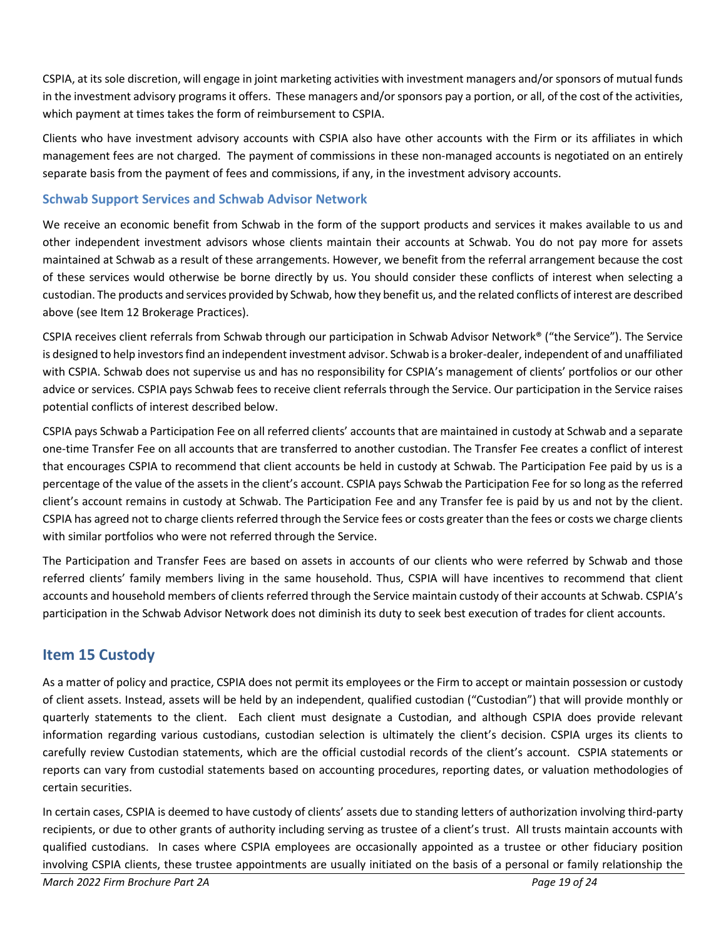CSPIA, at its sole discretion, will engage in joint marketing activities with investment managers and/or sponsors of mutual funds in the investment advisory programs it offers. These managers and/or sponsors pay a portion, or all, of the cost of the activities, which payment at times takes the form of reimbursement to CSPIA.

Clients who have investment advisory accounts with CSPIA also have other accounts with the Firm or its affiliates in which management fees are not charged. The payment of commissions in these non-managed accounts is negotiated on an entirely separate basis from the payment of fees and commissions, if any, in the investment advisory accounts.

### **Schwab Support Services and Schwab Advisor Network**

We receive an economic benefit from Schwab in the form of the support products and services it makes available to us and other independent investment advisors whose clients maintain their accounts at Schwab. You do not pay more for assets maintained at Schwab as a result of these arrangements. However, we benefit from the referral arrangement because the cost of these services would otherwise be borne directly by us. You should consider these conflicts of interest when selecting a custodian. The products and services provided by Schwab, how they benefit us, and the related conflicts of interest are described above (see Item 12 Brokerage Practices).

CSPIA receives client referrals from Schwab through our participation in Schwab Advisor Network® ("the Service"). The Service is designed to help investors find an independent investment advisor. Schwab is a broker-dealer, independent of and unaffiliated with CSPIA. Schwab does not supervise us and has no responsibility for CSPIA's management of clients' portfolios or our other advice or services. CSPIA pays Schwab fees to receive client referrals through the Service. Our participation in the Service raises potential conflicts of interest described below.

CSPIA pays Schwab a Participation Fee on all referred clients' accounts that are maintained in custody at Schwab and a separate one-time Transfer Fee on all accounts that are transferred to another custodian. The Transfer Fee creates a conflict of interest that encourages CSPIA to recommend that client accounts be held in custody at Schwab. The Participation Fee paid by us is a percentage of the value of the assets in the client's account. CSPIA pays Schwab the Participation Fee for so long as the referred client's account remains in custody at Schwab. The Participation Fee and any Transfer fee is paid by us and not by the client. CSPIA has agreed not to charge clients referred through the Service fees or costs greater than the fees or costs we charge clients with similar portfolios who were not referred through the Service.

The Participation and Transfer Fees are based on assets in accounts of our clients who were referred by Schwab and those referred clients' family members living in the same household. Thus, CSPIA will have incentives to recommend that client accounts and household members of clients referred through the Service maintain custody of their accounts at Schwab. CSPIA's participation in the Schwab Advisor Network does not diminish its duty to seek best execution of trades for client accounts.

### <span id="page-18-0"></span>**Item 15 Custody**

As a matter of policy and practice, CSPIA does not permit its employees or the Firm to accept or maintain possession or custody of client assets. Instead, assets will be held by an independent, qualified custodian ("Custodian") that will provide monthly or quarterly statements to the client. Each client must designate a Custodian, and although CSPIA does provide relevant information regarding various custodians, custodian selection is ultimately the client's decision. CSPIA urges its clients to carefully review Custodian statements, which are the official custodial records of the client's account. CSPIA statements or reports can vary from custodial statements based on accounting procedures, reporting dates, or valuation methodologies of certain securities.

In certain cases, CSPIA is deemed to have custody of clients' assets due to standing letters of authorization involving third-party recipients, or due to other grants of authority including serving as trustee of a client's trust. All trusts maintain accounts with qualified custodians. In cases where CSPIA employees are occasionally appointed as a trustee or other fiduciary position involving CSPIA clients, these trustee appointments are usually initiated on the basis of a personal or family relationship the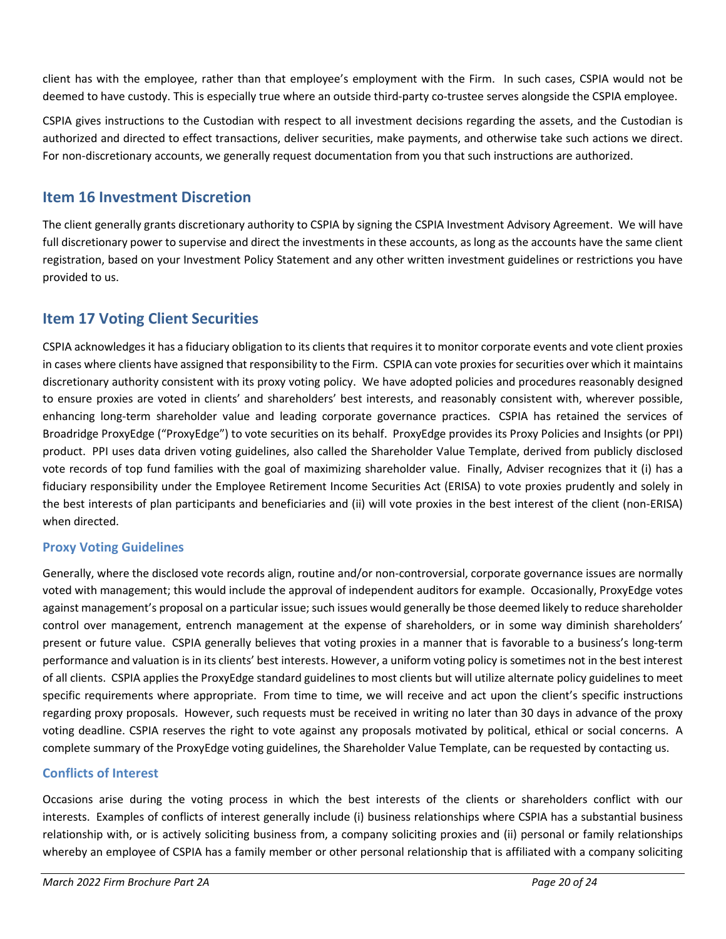client has with the employee, rather than that employee's employment with the Firm. In such cases, CSPIA would not be deemed to have custody. This is especially true where an outside third-party co-trustee serves alongside the CSPIA employee.

CSPIA gives instructions to the Custodian with respect to all investment decisions regarding the assets, and the Custodian is authorized and directed to effect transactions, deliver securities, make payments, and otherwise take such actions we direct. For non-discretionary accounts, we generally request documentation from you that such instructions are authorized.

### <span id="page-19-0"></span>**Item 16 Investment Discretion**

The client generally grants discretionary authority to CSPIA by signing the CSPIA Investment Advisory Agreement. We will have full discretionary power to supervise and direct the investments in these accounts, as long as the accounts have the same client registration, based on your Investment Policy Statement and any other written investment guidelines or restrictions you have provided to us.

### <span id="page-19-1"></span>**Item 17 Voting Client Securities**

CSPIA acknowledges it has a fiduciary obligation to its clients that requires it to monitor corporate events and vote client proxies in cases where clients have assigned that responsibility to the Firm. CSPIA can vote proxies for securities over which it maintains discretionary authority consistent with its proxy voting policy. We have adopted policies and procedures reasonably designed to ensure proxies are voted in clients' and shareholders' best interests, and reasonably consistent with, wherever possible, enhancing long-term shareholder value and leading corporate governance practices. CSPIA has retained the services of Broadridge ProxyEdge ("ProxyEdge") to vote securities on its behalf. ProxyEdge provides its Proxy Policies and Insights (or PPI) product. PPI uses data driven voting guidelines, also called the Shareholder Value Template, derived from publicly disclosed vote records of top fund families with the goal of maximizing shareholder value. Finally, Adviser recognizes that it (i) has a fiduciary responsibility under the Employee Retirement Income Securities Act (ERISA) to vote proxies prudently and solely in the best interests of plan participants and beneficiaries and (ii) will vote proxies in the best interest of the client (non-ERISA) when directed.

### **Proxy Voting Guidelines**

Generally, where the disclosed vote records align, routine and/or non-controversial, corporate governance issues are normally voted with management; this would include the approval of independent auditors for example. Occasionally, ProxyEdge votes against management's proposal on a particular issue; such issues would generally be those deemed likely to reduce shareholder control over management, entrench management at the expense of shareholders, or in some way diminish shareholders' present or future value. CSPIA generally believes that voting proxies in a manner that is favorable to a business's long-term performance and valuation is in its clients' best interests. However, a uniform voting policy is sometimes not in the best interest of all clients. CSPIA applies the ProxyEdge standard guidelines to most clients but will utilize alternate policy guidelines to meet specific requirements where appropriate. From time to time, we will receive and act upon the client's specific instructions regarding proxy proposals. However, such requests must be received in writing no later than 30 days in advance of the proxy voting deadline. CSPIA reserves the right to vote against any proposals motivated by political, ethical or social concerns. A complete summary of the ProxyEdge voting guidelines, the Shareholder Value Template, can be requested by contacting us.

### **Conflicts of Interest**

Occasions arise during the voting process in which the best interests of the clients or shareholders conflict with our interests. Examples of conflicts of interest generally include (i) business relationships where CSPIA has a substantial business relationship with, or is actively soliciting business from, a company soliciting proxies and (ii) personal or family relationships whereby an employee of CSPIA has a family member or other personal relationship that is affiliated with a company soliciting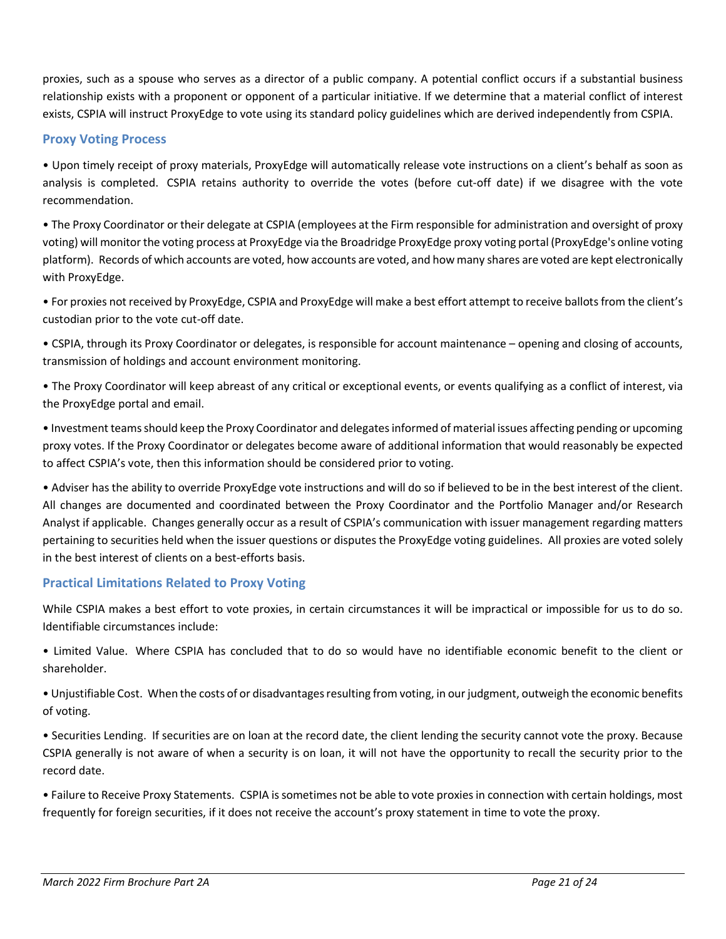proxies, such as a spouse who serves as a director of a public company. A potential conflict occurs if a substantial business relationship exists with a proponent or opponent of a particular initiative. If we determine that a material conflict of interest exists, CSPIA will instruct ProxyEdge to vote using its standard policy guidelines which are derived independently from CSPIA.

### **Proxy Voting Process**

• Upon timely receipt of proxy materials, ProxyEdge will automatically release vote instructions on a client's behalf as soon as analysis is completed. CSPIA retains authority to override the votes (before cut-off date) if we disagree with the vote recommendation.

• The Proxy Coordinator or their delegate at CSPIA (employees at the Firm responsible for administration and oversight of proxy voting) will monitor the voting process at ProxyEdge via the Broadridge ProxyEdge proxy voting portal (ProxyEdge's online voting platform). Records of which accounts are voted, how accounts are voted, and how many shares are voted are kept electronically with ProxyEdge.

• For proxies not received by ProxyEdge, CSPIA and ProxyEdge will make a best effort attempt to receive ballots from the client's custodian prior to the vote cut-off date.

• CSPIA, through its Proxy Coordinator or delegates, is responsible for account maintenance – opening and closing of accounts, transmission of holdings and account environment monitoring.

• The Proxy Coordinator will keep abreast of any critical or exceptional events, or events qualifying as a conflict of interest, via the ProxyEdge portal and email.

• Investment teams should keep the Proxy Coordinator and delegates informed of material issues affecting pending or upcoming proxy votes. If the Proxy Coordinator or delegates become aware of additional information that would reasonably be expected to affect CSPIA's vote, then this information should be considered prior to voting.

• Adviser has the ability to override ProxyEdge vote instructions and will do so if believed to be in the best interest of the client. All changes are documented and coordinated between the Proxy Coordinator and the Portfolio Manager and/or Research Analyst if applicable. Changes generally occur as a result of CSPIA's communication with issuer management regarding matters pertaining to securities held when the issuer questions or disputes the ProxyEdge voting guidelines. All proxies are voted solely in the best interest of clients on a best-efforts basis.

### **Practical Limitations Related to Proxy Voting**

While CSPIA makes a best effort to vote proxies, in certain circumstances it will be impractical or impossible for us to do so. Identifiable circumstances include:

• Limited Value. Where CSPIA has concluded that to do so would have no identifiable economic benefit to the client or shareholder.

• Unjustifiable Cost. When the costs of or disadvantages resulting from voting, in our judgment, outweigh the economic benefits of voting.

• Securities Lending. If securities are on loan at the record date, the client lending the security cannot vote the proxy. Because CSPIA generally is not aware of when a security is on loan, it will not have the opportunity to recall the security prior to the record date.

• Failure to Receive Proxy Statements. CSPIA is sometimes not be able to vote proxies in connection with certain holdings, most frequently for foreign securities, if it does not receive the account's proxy statement in time to vote the proxy.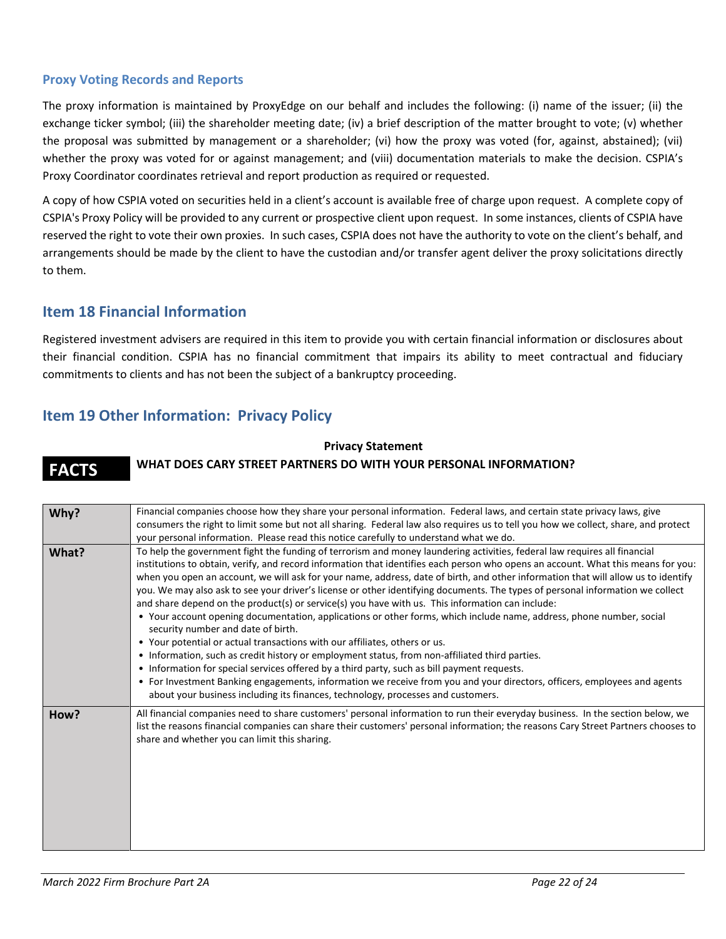#### **Proxy Voting Records and Reports**

The proxy information is maintained by ProxyEdge on our behalf and includes the following: (i) name of the issuer; (ii) the exchange ticker symbol; (iii) the shareholder meeting date; (iv) a brief description of the matter brought to vote; (v) whether the proposal was submitted by management or a shareholder; (vi) how the proxy was voted (for, against, abstained); (vii) whether the proxy was voted for or against management; and (viii) documentation materials to make the decision. CSPIA's Proxy Coordinator coordinates retrieval and report production as required or requested.

A copy of how CSPIA voted on securities held in a client's account is available free of charge upon request. A complete copy of CSPIA's Proxy Policy will be provided to any current or prospective client upon request. In some instances, clients of CSPIA have reserved the right to vote their own proxies. In such cases, CSPIA does not have the authority to vote on the client's behalf, and arrangements should be made by the client to have the custodian and/or transfer agent deliver the proxy solicitations directly to them.

### <span id="page-21-0"></span>**Item 18 Financial Information**

Registered investment advisers are required in this item to provide you with certain financial information or disclosures about their financial condition. CSPIA has no financial commitment that impairs its ability to meet contractual and fiduciary commitments to clients and has not been the subject of a bankruptcy proceeding.

### <span id="page-21-1"></span>**Item 19 Other Information: Privacy Policy**

#### **Privacy Statement**

### **FACTS WHAT DOES CARY STREET PARTNERS DO WITH YOUR PERSONAL INFORMATION?**

| Why?  | Financial companies choose how they share your personal information. Federal laws, and certain state privacy laws, give<br>consumers the right to limit some but not all sharing. Federal law also requires us to tell you how we collect, share, and protect<br>your personal information. Please read this notice carefully to understand what we do.                                                                                                                                                                                                                                                                                                                                                                                                                                                                                                                                                                                                                                                                                                                                                                                                                                                                                                                                                |
|-------|--------------------------------------------------------------------------------------------------------------------------------------------------------------------------------------------------------------------------------------------------------------------------------------------------------------------------------------------------------------------------------------------------------------------------------------------------------------------------------------------------------------------------------------------------------------------------------------------------------------------------------------------------------------------------------------------------------------------------------------------------------------------------------------------------------------------------------------------------------------------------------------------------------------------------------------------------------------------------------------------------------------------------------------------------------------------------------------------------------------------------------------------------------------------------------------------------------------------------------------------------------------------------------------------------------|
| What? | To help the government fight the funding of terrorism and money laundering activities, federal law requires all financial<br>institutions to obtain, verify, and record information that identifies each person who opens an account. What this means for you:<br>when you open an account, we will ask for your name, address, date of birth, and other information that will allow us to identify<br>you. We may also ask to see your driver's license or other identifying documents. The types of personal information we collect<br>and share depend on the product(s) or service(s) you have with us. This information can include:<br>• Your account opening documentation, applications or other forms, which include name, address, phone number, social<br>security number and date of birth.<br>• Your potential or actual transactions with our affiliates, others or us.<br>• Information, such as credit history or employment status, from non-affiliated third parties.<br>• Information for special services offered by a third party, such as bill payment requests.<br>• For Investment Banking engagements, information we receive from you and your directors, officers, employees and agents<br>about your business including its finances, technology, processes and customers. |
| How?  | All financial companies need to share customers' personal information to run their everyday business. In the section below, we<br>list the reasons financial companies can share their customers' personal information; the reasons Cary Street Partners chooses to<br>share and whether you can limit this sharing.                                                                                                                                                                                                                                                                                                                                                                                                                                                                                                                                                                                                                                                                                                                                                                                                                                                                                                                                                                                   |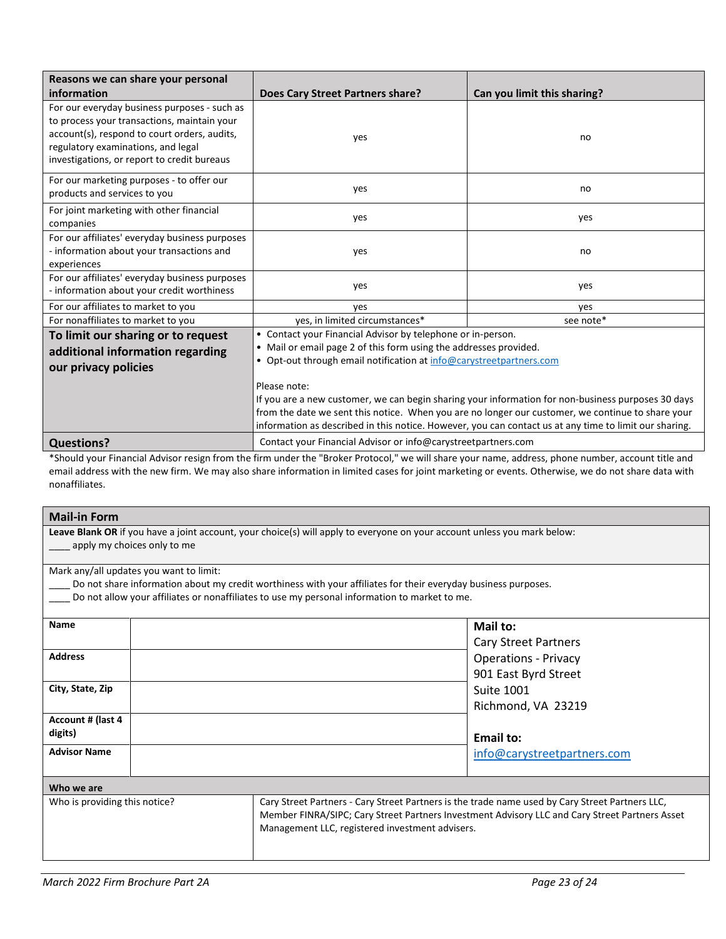| Reasons we can share your personal                                                                                                                                                                                               |                                                                                                                                                                                                                                                                                                                                                                                                                                                                                                                                              |                             |
|----------------------------------------------------------------------------------------------------------------------------------------------------------------------------------------------------------------------------------|----------------------------------------------------------------------------------------------------------------------------------------------------------------------------------------------------------------------------------------------------------------------------------------------------------------------------------------------------------------------------------------------------------------------------------------------------------------------------------------------------------------------------------------------|-----------------------------|
| information                                                                                                                                                                                                                      | Does Cary Street Partners share?                                                                                                                                                                                                                                                                                                                                                                                                                                                                                                             | Can you limit this sharing? |
| For our everyday business purposes - such as<br>to process your transactions, maintain your<br>account(s), respond to court orders, audits,<br>regulatory examinations, and legal<br>investigations, or report to credit bureaus | yes                                                                                                                                                                                                                                                                                                                                                                                                                                                                                                                                          | no                          |
| For our marketing purposes - to offer our<br>products and services to you                                                                                                                                                        | yes                                                                                                                                                                                                                                                                                                                                                                                                                                                                                                                                          | no                          |
| For joint marketing with other financial<br>companies                                                                                                                                                                            | yes                                                                                                                                                                                                                                                                                                                                                                                                                                                                                                                                          | yes                         |
| For our affiliates' everyday business purposes<br>- information about your transactions and<br>experiences                                                                                                                       | yes                                                                                                                                                                                                                                                                                                                                                                                                                                                                                                                                          | no                          |
| For our affiliates' everyday business purposes<br>- information about your credit worthiness                                                                                                                                     | yes                                                                                                                                                                                                                                                                                                                                                                                                                                                                                                                                          | yes                         |
| For our affiliates to market to you                                                                                                                                                                                              | yes                                                                                                                                                                                                                                                                                                                                                                                                                                                                                                                                          | yes                         |
| For nonaffiliates to market to you                                                                                                                                                                                               | yes, in limited circumstances*                                                                                                                                                                                                                                                                                                                                                                                                                                                                                                               | see note*                   |
| To limit our sharing or to request<br>additional information regarding<br>our privacy policies                                                                                                                                   | • Contact your Financial Advisor by telephone or in-person.<br>• Mail or email page 2 of this form using the addresses provided.<br>• Opt-out through email notification at info@carystreetpartners.com<br>Please note:<br>If you are a new customer, we can begin sharing your information for non-business purposes 30 days<br>from the date we sent this notice. When you are no longer our customer, we continue to share your<br>information as described in this notice. However, you can contact us at any time to limit our sharing. |                             |
|                                                                                                                                                                                                                                  |                                                                                                                                                                                                                                                                                                                                                                                                                                                                                                                                              |                             |
| <b>Questions?</b>                                                                                                                                                                                                                | Contact your Financial Advisor or info@carystreetpartners.com                                                                                                                                                                                                                                                                                                                                                                                                                                                                                |                             |

\*Should your Financial Advisor resign from the firm under the "Broker Protocol," we will share your name, address, phone number, account title and email address with the new firm. We may also share information in limited cases for joint marketing or events. Otherwise, we do not share data with nonaffiliates.

#### **Mail-in Form**

**Leave Blank OR** if you have a joint account, your choice(s) will apply to everyone on your account unless you mark below: apply my choices only to me

Mark any/all updates you want to limit:

\_\_\_\_ Do not share information about my credit worthiness with your affiliates for their everyday business purposes.

\_\_\_\_ Do not allow your affiliates or nonaffiliates to use my personal information to market to me.

| Name                          |  |                                                                                                                                                    | Mail to:<br><b>Cary Street Partners</b>                                                        |
|-------------------------------|--|----------------------------------------------------------------------------------------------------------------------------------------------------|------------------------------------------------------------------------------------------------|
| <b>Address</b>                |  |                                                                                                                                                    | <b>Operations - Privacy</b>                                                                    |
| City, State, Zip              |  |                                                                                                                                                    | 901 East Byrd Street<br><b>Suite 1001</b><br>Richmond, VA 23219                                |
| Account # (last 4<br>digits)  |  |                                                                                                                                                    | Email to:                                                                                      |
| <b>Advisor Name</b>           |  |                                                                                                                                                    | info@carystreetpartners.com                                                                    |
| Who we are                    |  |                                                                                                                                                    |                                                                                                |
| Who is providing this notice? |  | Cary Street Partners - Cary Street Partners is the trade name used by Cary Street Partners LLC,<br>Management LLC, registered investment advisers. | Member FINRA/SIPC; Cary Street Partners Investment Advisory LLC and Cary Street Partners Asset |